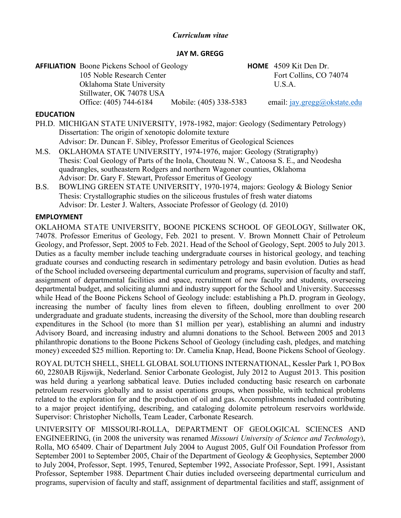## *Curriculum vitae*

### **JAY M. GREGG**

| <b>AFFILIATION</b> Boone Pickens School of Geology | <b>HOME</b> 4509 Kit Den Dr.                           |
|----------------------------------------------------|--------------------------------------------------------|
| 105 Noble Research Center                          | Fort Collins, CO 74074                                 |
| Oklahoma State University                          | USA.                                                   |
| Stillwater, OK 74078 USA                           |                                                        |
| Office: (405) 744-6184                             | Mobile: (405) 338-5383<br>email: jay.gregg@okstate.edu |

### **EDUCATION**

- PH.D. MICHIGAN STATE UNIVERSITY, 1978-1982, major: Geology (Sedimentary Petrology) Dissertation: The origin of xenotopic dolomite texture Advisor: Dr. Duncan F. Sibley, Professor Emeritus of Geological Sciences
- M.S. OKLAHOMA STATE UNIVERSITY, 1974-1976, major: Geology (Stratigraphy) Thesis: Coal Geology of Parts of the Inola, Chouteau N. W., Catoosa S. E., and Neodesha quadrangles, southeastern Rodgers and northern Wagoner counties, Oklahoma Advisor: Dr. Gary F. Stewart, Professor Emeritus of Geology
- B.S. BOWLING GREEN STATE UNIVERSITY, 1970-1974, majors: Geology & Biology Senior Thesis: Crystallographic studies on the siliceous frustules of fresh water diatoms Advisor: Dr. Lester J. Walters, Associate Professor of Geology (d. 2010)

## **EMPLOYMENT**

OKLAHOMA STATE UNIVERSITY, BOONE PICKENS SCHOOL OF GEOLOGY, Stillwater OK, 74078. Professor Emeritus of Geology, Feb. 2021 to present. V. Brown Monnett Chair of Petroleum Geology, and Professor, Sept. 2005 to Feb. 2021. Head of the School of Geology, Sept. 2005 to July 2013. Duties as a faculty member include teaching undergraduate courses in historical geology, and teaching graduate courses and conducting research in sedimentary petrology and basin evolution. Duties as head of the School included overseeing departmental curriculum and programs, supervision of faculty and staff, assignment of departmental facilities and space, recruitment of new faculty and students, overseeing departmental budget, and soliciting alumni and industry support for the School and University. Successes while Head of the Boone Pickens School of Geology include: establishing a Ph.D. program in Geology, increasing the number of faculty lines from eleven to fifteen, doubling enrollment to over 200 undergraduate and graduate students, increasing the diversity of the School, more than doubling research expenditures in the School (to more than \$1 million per year), establishing an alumni and industry Advisory Board, and increasing industry and alumni donations to the School. Between 2005 and 2013 philanthropic donations to the Boone Pickens School of Geology (including cash, pledges, and matching money) exceeded \$25 million. Reporting to: Dr. Camelia Knap, Head, Boone Pickens School of Geology.

ROYAL DUTCH SHELL, SHELL GLOBAL SOLUTIONS INTERNATIONAL, Kessler Park 1, PO Box 60, 2280AB Rijswijk, Nederland. Senior Carbonate Geologist, July 2012 to August 2013. This position was held during a yearlong sabbatical leave. Duties included conducting basic research on carbonate petroleum reservoirs globally and to assist operations groups, when possible, with technical problems related to the exploration for and the production of oil and gas. Accomplishments included contributing to a major project identifying, describing, and cataloging dolomite petroleum reservoirs worldwide. Supervisor: Christopher Nicholls, Team Leader, Carbonate Research.

UNIVERSITY OF MISSOURI-ROLLA, DEPARTMENT OF GEOLOGICAL SCIENCES AND ENGINEERING, (in 2008 the university was renamed *Missouri University of Science and Technology*), Rolla, MO 65409. Chair of Department July 2004 to August 2005, Gulf Oil Foundation Professor from September 2001 to September 2005, Chair of the Department of Geology & Geophysics, September 2000 to July 2004, Professor, Sept. 1995, Tenured, September 1992, Associate Professor, Sept. 1991, Assistant Professor, September 1988. Department Chair duties included overseeing departmental curriculum and programs, supervision of faculty and staff, assignment of departmental facilities and staff, assignment of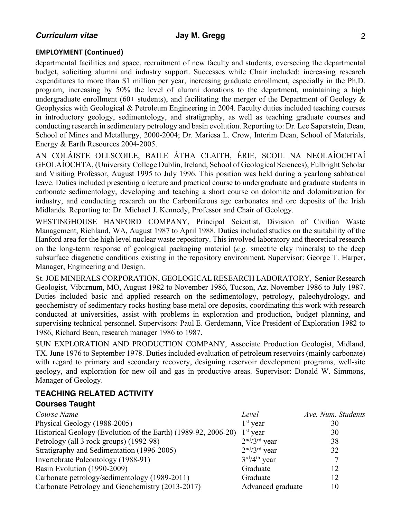## **EMPLOYMENT (Continued)**

departmental facilities and space, recruitment of new faculty and students, overseeing the departmental budget, soliciting alumni and industry support. Successes while Chair included: increasing research expenditures to more than \$1 million per year, increasing graduate enrollment, especially in the Ph.D. program, increasing by 50% the level of alumni donations to the department, maintaining a high undergraduate enrollment (60+ students), and facilitating the merger of the Department of Geology  $\&$ Geophysics with Geological & Petroleum Engineering in 2004. Faculty duties included teaching courses in introductory geology, sedimentology, and stratigraphy, as well as teaching graduate courses and conducting research in sedimentary petrology and basin evolution. Reporting to: Dr. Lee Saperstein, Dean, School of Mines and Metallurgy, 2000-2004; Dr. Mariesa L. Crow, Interim Dean, School of Materials, Energy & Earth Resources 2004-2005.

AN COLÁISTE OLLSCOILE, BAILE ÁTHA CLAITH, ÉRIE, SCOIL NA NEOLAÍOCHTAÍ GEOLAÍOCHTA, (University College Dublin, Ireland, School of Geological Sciences), Fulbright Scholar and Visiting Professor, August 1995 to July 1996. This position was held during a yearlong sabbatical leave. Duties included presenting a lecture and practical course to undergraduate and graduate students in carbonate sedimentology, developing and teaching a short course on dolomite and dolomitization for industry, and conducting research on the Carboniferous age carbonates and ore deposits of the Irish Midlands. Reporting to: Dr. Michael J. Kennedy, Professor and Chair of Geology.

WESTINGHOUSE HANFORD COMPANY, Principal Scientist, Division of Civilian Waste Management, Richland, WA, August 1987 to April 1988. Duties included studies on the suitability of the Hanford area for the high level nuclear waste repository. This involved laboratory and theoretical research on the long-term response of geological packaging material (*e.g.* smectite clay minerals) to the deep subsurface diagenetic conditions existing in the repository environment. Supervisor: George T. Harper, Manager, Engineering and Design.

St. JOE MINERALS CORPORATION, GEOLOGICAL RESEARCH LABORATORY, Senior Research Geologist, Viburnum, MO, August 1982 to November 1986, Tucson, Az. November 1986 to July 1987. Duties included basic and applied research on the sedimentology, petrology, paleohydrology, and geochemistry of sedimentary rocks hosting base metal ore deposits, coordinating this work with research conducted at universities, assist with problems in exploration and production, budget planning, and supervising technical personnel. Supervisors: Paul E. Gerdemann, Vice President of Exploration 1982 to 1986, Richard Bean, research manager 1986 to 1987.

SUN EXPLORATION AND PRODUCTION COMPANY, Associate Production Geologist, Midland, TX. June 1976 to September 1978. Duties included evaluation of petroleum reservoirs (mainly carbonate) with regard to primary and secondary recovery, designing reservoir development programs, well-site geology, and exploration for new oil and gas in productive areas. Supervisor: Donald W. Simmons, Manager of Geology.

# **TEACHING RELATED ACTIVITY Courses Taught**

| Course Name                                                    | Level             | Ave. Num. Students |
|----------------------------------------------------------------|-------------------|--------------------|
| Physical Geology (1988-2005)                                   | $1st$ year        | 30                 |
| Historical Geology (Evolution of the Earth) (1989-92, 2006-20) | $1st$ year        | 30                 |
| Petrology (all 3 rock groups) (1992-98)                        | $2nd/3rd$ year    | 38                 |
| Stratigraphy and Sedimentation (1996-2005)                     | $2nd/3rd$ year    | 32                 |
| Invertebrate Paleontology (1988-91)                            | $3rd/4th$ year    |                    |
| Basin Evolution (1990-2009)                                    | Graduate          | 12                 |
| Carbonate petrology/sedimentology (1989-2011)                  | Graduate          | 12                 |
| Carbonate Petrology and Geochemistry (2013-2017)               | Advanced graduate | 10                 |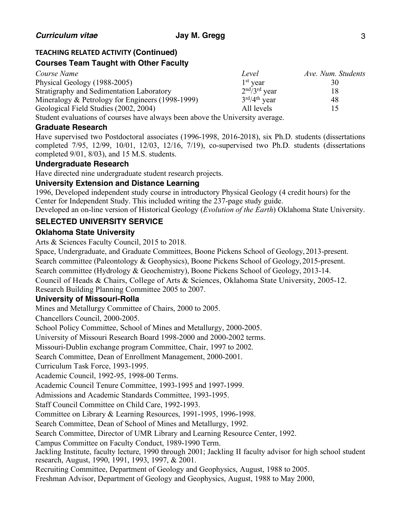# **TEACHING RELATED ACTIVITY (Continued)**

# **Courses Team Taught with Other Faculty**

| Course Name                                                                  | Level                              | Ave. Num. Students |
|------------------------------------------------------------------------------|------------------------------------|--------------------|
| Physical Geology (1988-2005)                                                 | $1st$ year                         | 30                 |
| Stratigraphy and Sedimentation Laboratory                                    | $2nd/3rd$ year                     | 18                 |
| Mineralogy & Petrology for Engineers (1998-1999)                             | $3^{\text{rd}}/4^{\text{th}}$ year | 48                 |
| Geological Field Studies (2002, 2004)                                        | All levels                         | 15                 |
| Student evaluations of courses have always been above the University average |                                    |                    |

Student evaluations of courses have always been above the University average.

## **Graduate Research**

Have supervised two Postdoctoral associates (1996-1998, 2016-2018), six Ph.D. students (dissertations completed 7/95, 12/99, 10/01, 12/03, 12/16, 7/19), co-supervised two Ph.D. students (dissertations completed 9/01, 8/03), and 15 M.S. students.

## **Undergraduate Research**

Have directed nine undergraduate student research projects.

# **University Extension and Distance Learning**

1996, Developed independent study course in introductory Physical Geology (4 credit hours) for the Center for Independent Study. This included writing the 237-page study guide.

Developed an on-line version of Historical Geology (*Evolution of the Earth*) Oklahoma State University.

# **SELECTED UNIVERSITY SERVICE**

## **Oklahoma State University**

Arts & Sciences Faculty Council, 2015 to 2018.

Space, Undergraduate, and Graduate Committees, Boone Pickens School of Geology, 2013-present. Search committee (Paleontology & Geophysics), Boone Pickens School of Geology, 2015-present. Search committee (Hydrology & Geochemistry), Boone Pickens School of Geology, 2013-14. Council of Heads & Chairs, College of Arts & Sciences, Oklahoma State University, 2005-12. Research Building Planning Committee 2005 to 2007.

## **University of Missouri-Rolla**

Mines and Metallurgy Committee of Chairs, 2000 to 2005.

Chancellors Council, 2000-2005.

School Policy Committee, School of Mines and Metallurgy, 2000-2005.

University of Missouri Research Board 1998-2000 and 2000-2002 terms.

Missouri-Dublin exchange program Committee, Chair, 1997 to 2002.

Search Committee, Dean of Enrollment Management, 2000-2001.

Curriculum Task Force, 1993-1995.

Academic Council, 1992-95, 1998-00 Terms.

Academic Council Tenure Committee, 1993-1995 and 1997-1999.

Admissions and Academic Standards Committee, 1993-1995.

Staff Council Committee on Child Care, 1992-1993.

Committee on Library & Learning Resources, 1991-1995, 1996-1998.

Search Committee, Dean of School of Mines and Metallurgy, 1992.

Search Committee, Director of UMR Library and Learning Resource Center, 1992.

Campus Committee on Faculty Conduct, 1989-1990 Term.

Jackling Institute, faculty lecture, 1990 through 2001; Jackling II faculty advisor for high school student research, August, 1990, 1991, 1993, 1997, & 2001.

Recruiting Committee, Department of Geology and Geophysics, August, 1988 to 2005.

Freshman Advisor, Department of Geology and Geophysics, August, 1988 to May 2000,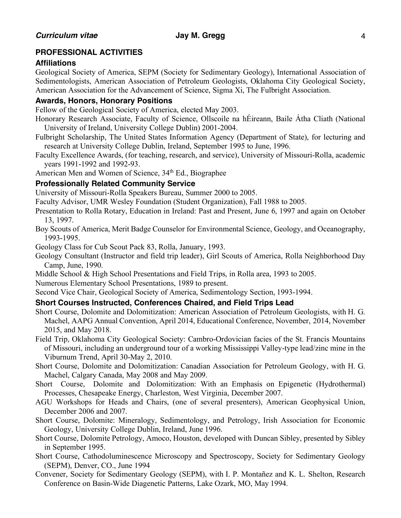# **PROFESSIONAL ACTIVITIES**

## **Affiliations**

Geological Society of America, SEPM (Society for Sedimentary Geology), International Association of Sedimentologists, American Association of Petroleum Geologists, Oklahoma City Geological Society, American Association for the Advancement of Science, Sigma Xi, The Fulbright Association.

## **Awards, Honors, Honorary Positions**

Fellow of the Geological Society of America, elected May 2003.

- Honorary Research Associate, Faculty of Science, Ollscoile na hÉireann, Baile Átha Cliath (National University of Ireland, University College Dublin) 2001-2004.
- Fulbright Scholarship, The United States Information Agency (Department of State), for lecturing and research at University College Dublin, Ireland, September 1995 to June, 1996.
- Faculty Excellence Awards, (for teaching, research, and service), University of Missouri-Rolla, academic years 1991-1992 and 1992-93.

American Men and Women of Science, 34<sup>th</sup> Ed., Biographee

# **Professionally Related Community Service**

University of Missouri-Rolla Speakers Bureau, Summer 2000 to 2005.

Faculty Advisor, UMR Wesley Foundation (Student Organization), Fall 1988 to 2005.

- Presentation to Rolla Rotary, Education in Ireland: Past and Present, June 6, 1997 and again on October 13, 1997.
- Boy Scouts of America, Merit Badge Counselor for Environmental Science, Geology, and Oceanography, 1993-1995.

Geology Class for Cub Scout Pack 83, Rolla, January, 1993.

- Geology Consultant (Instructor and field trip leader), Girl Scouts of America, Rolla Neighborhood Day Camp, June, 1990.
- Middle School & High School Presentations and Field Trips, in Rolla area, 1993 to 2005.

Numerous Elementary School Presentations, 1989 to present.

Second Vice Chair, Geological Society of America, Sedimentology Section, 1993-1994.

## **Short Courses Instructed, Conferences Chaired, and Field Trips Lead**

- Short Course, Dolomite and Dolomitization: American Association of Petroleum Geologists, with H. G. Machel, AAPG Annual Convention, April 2014, Educational Conference, November, 2014, November 2015, and May 2018.
- Field Trip, Oklahoma City Geological Society: Cambro-Ordovician facies of the St. Francis Mountains of Missouri, including an underground tour of a working Mississippi Valley-type lead/zinc mine in the Viburnum Trend, April 30-May 2, 2010.
- Short Course, Dolomite and Dolomitization: Canadian Association for Petroleum Geology, with H. G. Machel, Calgary Canada, May 2008 and May 2009.
- Short Course, Dolomite and Dolomitization: With an Emphasis on Epigenetic (Hydrothermal) Processes, Chesapeake Energy, Charleston, West Virginia, December 2007.
- AGU Workshops for Heads and Chairs, (one of several presenters), American Geophysical Union, December 2006 and 2007.
- Short Course, Dolomite: Mineralogy, Sedimentology, and Petrology, Irish Association for Economic Geology, University College Dublin, Ireland, June 1996.
- Short Course, Dolomite Petrology, Amoco, Houston, developed with Duncan Sibley, presented by Sibley in September 1995.
- Short Course, Cathodoluminescence Microscopy and Spectroscopy, Society for Sedimentary Geology (SEPM), Denver, CO., June 1994
- Convener, Society for Sedimentary Geology (SEPM), with I. P. Montañez and K. L. Shelton, Research Conference on Basin-Wide Diagenetic Patterns, Lake Ozark, MO, May 1994.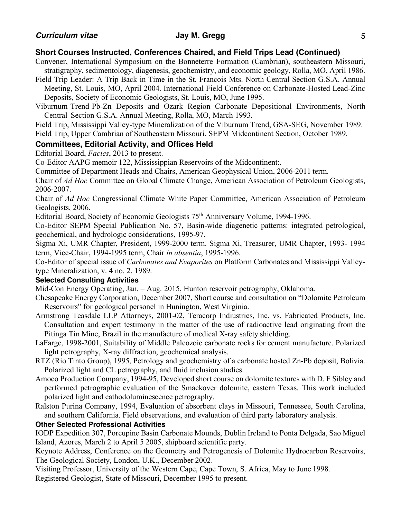# **Short Courses Instructed, Conferences Chaired, and Field Trips Lead (Continued)**

Convener, International Symposium on the Bonneterre Formation (Cambrian), southeastern Missouri, stratigraphy, sedimentology, diagenesis, geochemistry, and economic geology, Rolla, MO, April 1986.

Field Trip Leader: A Trip Back in Time in the St. Francois Mts. North Central Section G.S.A. Annual Meeting, St. Louis, MO, April 2004. International Field Conference on Carbonate-Hosted Lead-Zinc Deposits, Society of Economic Geologists, St. Louis, MO, June 1995.

Viburnum Trend Pb-Zn Deposits and Ozark Region Carbonate Depositional Environments, North Central Section G.S.A. Annual Meeting, Rolla, MO, March 1993.

Field Trip, Mississippi Valley-type Mineralization of the Viburnum Trend, GSA-SEG, November 1989. Field Trip, Upper Cambrian of Southeastern Missouri, SEPM Midcontinent Section, October 1989.

## **Committees, Editorial Activity, and Offices Held**

Editorial Board, *Facies*, 2013 to present.

Co-Editor AAPG memoir 122, Mississippian Reservoirs of the Midcontinent:.

Committee of Department Heads and Chairs, American Geophysical Union, 2006-2011 term.

Chair of *Ad Hoc* Committee on Global Climate Change, American Association of Petroleum Geologists, 2006-2007.

Chair of *Ad Hoc* Congressional Climate White Paper Committee, American Association of Petroleum Geologists, 2006.

Editorial Board, Society of Economic Geologists 75th Anniversary Volume, 1994-1996.

Co-Editor SEPM Special Publication No. 57, Basin-wide diagenetic patterns: integrated petrological, geochemical, and hydrologic considerations, 1995-97.

Sigma Xi, UMR Chapter, President, 1999-2000 term. Sigma Xi, Treasurer, UMR Chapter, 1993- 1994 term, Vice-Chair, 1994-1995 term, Chair *in absentia*, 1995-1996.

Co-Editor of special issue of *Carbonates and Evaporites* on Platform Carbonates and Mississippi Valleytype Mineralization, v. 4 no. 2, 1989.

## **Selected Consulting Activities**

Mid-Con Energy Operating, Jan. – Aug. 2015, Hunton reservoir petrography, Oklahoma.

Chesapeake Energy Corporation, December 2007, Short course and consultation on "Dolomite Petroleum Reservoirs" for geological personel in Hunington, West Virginia.

- Armstrong Teasdale LLP Attorneys, 2001-02, Teracorp Indiustries, Inc. vs. Fabricated Products, Inc. Consultation and expert testimony in the matter of the use of radioactive lead originating from the Pitinga Tin Mine, Brazil in the manufacture of medical X-ray safety shielding.
- LaFarge, 1998-2001, Suitability of Middle Paleozoic carbonate rocks for cement manufacture. Polarized light petrography, X-ray diffraction, geochemical analysis.
- RTZ (Rio Tinto Group), 1995, Petrology and geochemistry of a carbonate hosted Zn-Pb deposit, Bolivia. Polarized light and CL petrography, and fluid inclusion studies.
- Amoco Production Company, 1994-95, Developed short course on dolomite textures with D. F Sibley and performed petrographic evaluation of the Smackover dolomite, eastern Texas. This work included polarized light and cathodoluminescence petrography.
- Ralston Purina Company, 1994, Evaluation of absorbent clays in Missouri, Tennessee, South Carolina, and southern California. Field observations, and evaluation of third party laboratory analysis.

## **Other Selected Professional Activities**

IODP Expedition 307, Porcupine Basin Carbonate Mounds, Dublin Ireland to Ponta Delgada, Sao Miguel Island, Azores, March 2 to April 5 2005, shipboard scientific party.

Keynote Address, Conference on the Geometry and Petrogenesis of Dolomite Hydrocarbon Reservoirs, The Geological Society, London, U.K., December 2002.

Visiting Professor, University of the Western Cape, Cape Town, S. Africa, May to June 1998.

Registered Geologist, State of Missouri, December 1995 to present.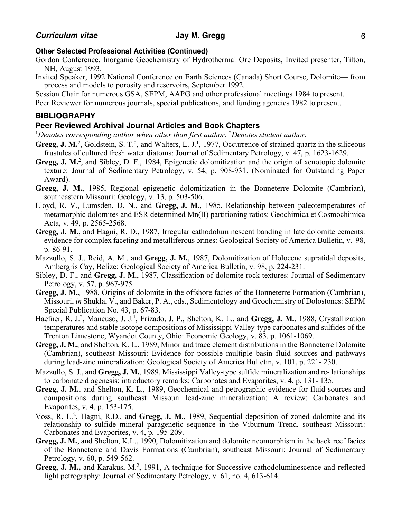## **Other Selected Professional Activities (Continued)**

- Gordon Conference, Inorganic Geochemistry of Hydrothermal Ore Deposits, Invited presenter, Tilton, NH, August 1993.
- Invited Speaker, 1992 National Conference on Earth Sciences (Canada) Short Course, Dolomite— from process and models to porosity and reservoirs, September 1992.

Session Chair for numerous GSA, SEPM, AAPG and other professional meetings 1984 to present.

Peer Reviewer for numerous journals, special publications, and funding agencies 1982 to present.

## **BIBLIOGRAPHY**

## **Peer Reviewed Archival Journal Articles and Book Chapters**

<sup>1</sup>Denotes corresponding author when other than first author. <sup>2</sup>Denotes student author.

- Gregg, J. M.<sup>2</sup>, Goldstein, S. T.<sup>2</sup>, and Walters, L. J.<sup>1</sup>, 1977, Occurrence of strained quartz in the siliceous frustules of cultured fresh water diatoms: Journal of Sedimentary Petrology, v. 47, p. 1623-1629.
- Gregg, J. M.<sup>2</sup>, and Sibley, D. F., 1984, Epigenetic dolomitization and the origin of xenotopic dolomite texture: Journal of Sedimentary Petrology, v. 54, p. 908-931. (Nominated for Outstanding Paper Award).
- **Gregg, J. M.**, 1985, Regional epigenetic dolomitization in the Bonneterre Dolomite (Cambrian), southeastern Missouri: Geology, v. 13, p. 503-506.
- Lloyd, R. V., Lumsden, D. N., and **Gregg, J. M.**, 1985, Relationship between paleotemperatures of metamorphic dolomites and ESR determined Mn(II) partitioning ratios: Geochimica et Cosmochimica Acta, v. 49, p. 2565-2568.
- **Gregg, J. M.**, and Hagni, R. D., 1987, Irregular cathodoluminescent banding in late dolomite cements: evidence for complex faceting and metalliferous brines: Geological Society of America Bulletin, v. 98, p. 86-91.
- Mazzullo, S. J., Reid, A. M., and **Gregg, J. M.**, 1987, Dolomitization of Holocene supratidal deposits, Ambergris Cay, Belize: Geological Society of America Bulletin, v. 98, p. 224-231.
- Sibley, D. F., and **Gregg, J. M.**, 1987, Classification of dolomite rock textures: Journal of Sedimentary Petrology, v. 57, p. 967-975.
- **Gregg, J. M.**, 1988, Origins of dolomite in the offshore facies of the Bonneterre Formation (Cambrian), Missouri, *in* Shukla, V., and Baker, P. A., eds., Sedimentology and Geochemistry of Dolostones: SEPM Special Publication No. 43, p. 67-83.
- Haefner, R. J.<sup>2</sup>, Mancuso, J. J.<sup>1</sup>, Frizado, J. P., Shelton, K. L., and Gregg, J. M., 1988, Crystallization temperatures and stable isotope compositions of Mississippi Valley-type carbonates and sulfides of the Trenton Limestone, Wyandot County, Ohio: Economic Geology, v. 83, p. 1061-1069.
- **Gregg, J. M.**, and Shelton, K. L., 1989, Minor and trace element distributions in the Bonneterre Dolomite (Cambrian), southeast Missouri: Evidence for possible multiple basin fluid sources and pathways during lead-zinc mineralization: Geological Society of America Bulletin, v. 101, p. 221- 230.
- Mazzullo, S. J., and **Gregg, J. M.**, 1989, Mississippi Valley-type sulfide mineralization and re- lationships to carbonate diagenesis: introductory remarks: Carbonates and Evaporites, v. 4, p. 131- 135.
- **Gregg, J. M.**, and Shelton, K. L., 1989, Geochemical and petrographic evidence for fluid sources and compositions during southeast Missouri lead-zinc mineralization: A review: Carbonates and Evaporites, v. 4, p. 153-175.
- Voss, R. L.<sup>2</sup>, Hagni, R.D., and Gregg, J. M., 1989, Sequential deposition of zoned dolomite and its relationship to sulfide mineral paragenetic sequence in the Viburnum Trend, southeast Missouri: Carbonates and Evaporites, v. 4, p. 195-209.
- **Gregg, J. M.**, and Shelton, K.L., 1990, Dolomitization and dolomite neomorphism in the back reef facies of the Bonneterre and Davis Formations (Cambrian), southeast Missouri: Journal of Sedimentary Petrology, v. 60, p. 549-562.
- Gregg, J. M., and Karakus, M.<sup>2</sup>, 1991, A technique for Successive cathodoluminescence and reflected light petrography: Journal of Sedimentary Petrology, v. 61, no. 4, 613-614.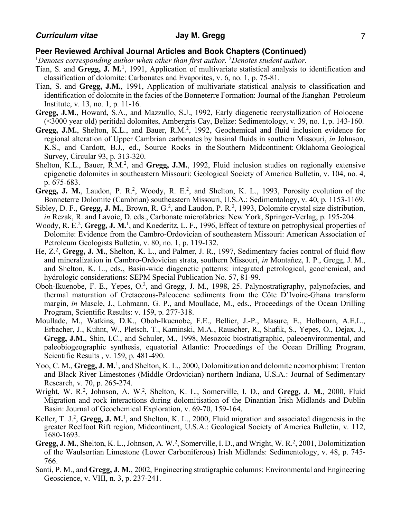- Tian, S. and **Gregg, J. M.**1, 1991, Application of multivariate statistical analysis to identification and classification of dolomite: Carbonates and Evaporites, v. 6, no. 1, p. 75-81.
- Tian, S. and **Gregg, J.M.**, 1991, Application of multivariate statistical analysis to classification and identification of dolomite in the facies of the Bonneterre Formation: Journal of the Jianghan Petroleum Institute, v. 13, no. 1, p. 11-16.
- **Gregg, J.M.**, Howard, S.A., and Mazzullo, S.J., 1992, Early diagenetic recrystallization of Holocene (<3000 year old) peritidal dolomites, Ambergris Cay, Belize: Sedimentology, v. 39, no. 1, p. 143-160.
- **Gregg, J.M.**, Shelton, K.L., and Bauer, R.M.2, 1992, Geochemical and fluid inclusion evidence for regional alteration of Upper Cambrian carbonates by basinal fluids in southern Missouri, *in* Johnson, K.S., and Cardott, B.J., ed., Source Rocks in the Southern Midcontinent: Oklahoma Geological Survey, Circular 93, p. 313-320.
- Shelton, K.L., Bauer, R.M.<sup>2</sup>, and **Gregg, J.M.**, 1992, Fluid inclusion studies on regionally extensive epigenetic dolomites in southeastern Missouri: Geological Society of America Bulletin, v. 104, no. 4, p. 675-683.
- Gregg, J. M., Laudon, P. R.<sup>2</sup>, Woody, R. E.<sup>2</sup>, and Shelton, K. L., 1993, Porosity evolution of the Bonneterre Dolomite (Cambrian) southeastern Missouri, U.S.A.: Sedimentology, v. 40, p. 1153-1169.
- Sibley, D. F., Gregg, J. M., Brown, R. G.<sup>2</sup>, and Laudon, P. R.<sup>2</sup>, 1993, Dolomite crystal size distribution, *in* Rezak, R. and Lavoie, D. eds., Carbonate microfabrics: New York, Springer-Verlag, p. 195-204.
- Woody, R. E.<sup>2</sup>, Gregg, J. M.<sup>1</sup>, and Koederitz, L. F., 1996, Effect of texture on petrophysical properties of Dolomite: Evidence from the Cambro-Ordovician of southeastern Missouri: American Association of Petroleum Geologists Bulletin, v. 80, no. 1, p. 119-132.
- He, Z.<sup>2</sup>, Gregg, J. M., Shelton, K. L., and Palmer, J. R., 1997, Sedimentary facies control of fluid flow and mineralization in Cambro-Ordovician strata, southern Missouri, *in* Montañez, I. P., Gregg, J. M., and Shelton, K. L., eds., Basin-wide diagenetic patterns: integrated petrological, geochemical, and hydrologic considerations: SEPM Special Publication No. 57, 81-99.
- Oboh-Ikuenobe, F. E., Yepes, O.<sup>2</sup>, and Gregg, J. M., 1998, 25. Palynostratigraphy, palynofacies, and thermal maturation of Cretaceous-Paleocene sediments from the Côte D'Ivoire-Ghana transform margin, *in* Mascle, J., Lohmann, G. P., and Moullade, M., eds., Proceedings of the Ocean Drilling Program, Scientific Results: v. 159, p. 277-318.
- Moullade, M., Watkins, D.K., Oboh-Ikuenobe, F.E., Bellier, J.-P., Masure, E., Holbourn, A.E.L., Erbacher, J., Kuhnt, W., Pletsch, T., Kaminski, M.A., Rauscher, R., Shafik, S., Yepes, O., Dejax, J., **Gregg, J.M.**, Shin, I.C., and Schuler, M., 1998, Mesozoic biostratigraphic, paleoenvironmental, and paleobiogeographic synthesis, equatorial Atlantic: Proceedings of the Ocean Drilling Program, Scientific Results , v. 159, p. 481-490.
- Yoo, C. M., Gregg, J. M.<sup>1</sup>, and Shelton, K. L., 2000, Dolomitization and dolomite neomorphism: Trenton and Black River Limestones (Middle Ordovician) northern Indiana, U.S.A.: Journal of Sedimentary Research, v. 70, p. 265-274.
- Wright, W. R.<sup>2</sup>, Johnson, A. W.<sup>2</sup>, Shelton, K. L., Somerville, I. D., and Gregg, J. M., 2000, Fluid Migration and rock interactions during dolomitisation of the Dinantian Irish Midlands and Dublin Basin: Journal of Geochemical Exploration, v. 69-70, 159-164.
- Keller, T. J.<sup>2</sup>, Gregg, J. M.<sup>1</sup>, and Shelton, K. L., 2000, Fluid migration and associated diagenesis in the greater Reelfoot Rift region, Midcontinent, U.S.A.: Geological Society of America Bulletin, v. 112, 1680-1693.
- Gregg, J. M., Shelton, K. L., Johnson, A. W.<sup>2</sup>, Somerville, I. D., and Wright, W. R.<sup>2</sup>, 2001, Dolomitization of the Waulsortian Limestone (Lower Carboniferous) Irish Midlands: Sedimentology, v. 48, p. 745- 766.
- Santi, P. M., and **Gregg, J. M.**, 2002, Engineering stratigraphic columns: Environmental and Engineering Geoscience, v. VIII, n. 3, p. 237-241.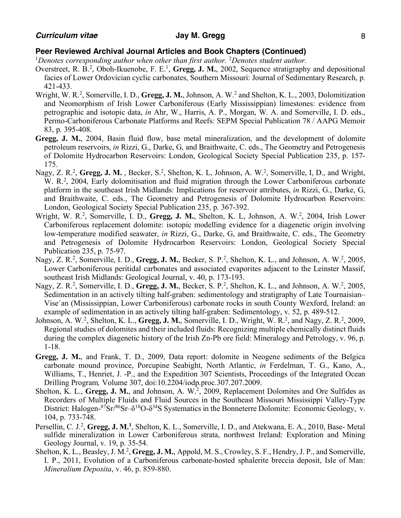- Overstreet, R. B.<sup>2</sup>, Oboh-Ikuenobe, F. E.<sup>1</sup>, Gregg, J. M., 2002, Sequence stratigraphy and depositional facies of Lower Ordovician cyclic carbonates, Southern Missouri: Journal of Sedimentary Research, p. 421-433.
- Wright, W. R.<sup>2</sup>, Somerville, I. D., Gregg, J. M., Johnson, A. W.<sup>2</sup> and Shelton, K. L., 2003, Dolomitization and Neomorphism of Irish Lower Carboniferous (Early Mississippian) limestones: evidence from petrographic and isotopic data, *in* Ahr, W., Harris, A. P., Morgan, W. A. and Somerville, I. D. eds., Permo-Carboniferous Carbonate Platforms and Reefs: SEPM Special Publication 78 / AAPG Memoir 83, p. 395-408.
- **Gregg, J. M.**, 2004, Basin fluid flow, base metal mineralization, and the development of dolomite petroleum reservoirs, *in* Rizzi, G., Darke, G, and Braithwaite, C. eds., The Geometry and Petrogenesis of Dolomite Hydrocarbon Reservoirs: London, Geological Society Special Publication 235, p. 157- 175.
- Nagy, Z. R.<sup>2</sup>, Gregg, J. M., Becker, S.<sup>2</sup>, Shelton, K. L, Johnson, A. W.<sup>2</sup>, Somerville, I, D., and Wright, W. R.<sup>2</sup>, 2004, Early dolomitisation and fluid migration through the Lower Carboniferous carbonate platform in the southeast Irish Midlands: Implications for reservoir attributes, *in* Rizzi, G., Darke, G, and Braithwaite, C. eds., The Geometry and Petrogenesis of Dolomite Hydrocarbon Reservoirs: London, Geological Society Special Publication 235, p. 367-392.
- Wright, W. R.<sup>2</sup>, Somerville, I. D., Gregg, J. M., Shelton, K. L, Johnson, A. W.<sup>2</sup>, 2004, Irish Lower Carboniferous replacement dolomite: isotopic modelling evidence for a diagenetic origin involving low-temperature modified seawater, *in* Rizzi, G., Darke, G, and Braithwaite, C. eds., The Geometry and Petrogenesis of Dolomite Hydrocarbon Reservoirs: London, Geological Society Special Publication 235, p. 75-97.
- Nagy, Z. R.<sup>2</sup>, Somerville, I. D., Gregg, J. M., Becker, S. P.<sup>2</sup>, Shelton, K. L., and Johnson, A. W.<sup>2</sup>, 2005, Lower Carboniferous peritidal carbonates and associated evaporites adjacent to the Leinster Massif, southeast Irish Midlands: Geological Journal, v. 40, p. 173-193.
- Nagy, Z. R.<sup>2</sup>, Somerville, I. D., Gregg, J. M., Becker, S. P.<sup>2</sup>, Shelton, K. L., and Johnson, A. W.<sup>2</sup>, 2005, Sedimentation in an actively tilting half-graben: sedimentology and stratigraphy of Late Tournaisian– Vise´an (Mississippian, Lower Carboniferous) carbonate rocks in south County Wexford, Ireland: an example of sedimentation in an actively tilting half-graben: Sedimentology, v. 52, p. 489-512.
- Johnson, A. W.<sup>2</sup>, Shelton, K. L., **Gregg, J. M.**, Somerville, I. D., Wright, W. R.<sup>2</sup>, and Nagy, Z. R.<sup>2</sup>, 2009, Regional studies of dolomites and their included fluids: Recognizing multiple chemically distinct fluids during the complex diagenetic history of the Irish Zn-Pb ore field: Mineralogy and Petrology, v. 96, p. 1-18.
- **Gregg, J. M.**, and Frank, T. D., 2009, Data report: dolomite in Neogene sediments of the Belgica carbonate mound province, Porcupine Seabight, North Atlantic, *in* Ferdelman, T. G., Kano, A., Williams, T., Henriet, J. -P., and the Expedition 307 Scientists, Proceedings of the Integrated Ocean Drilling Program*,* Volume 307, doi:10.2204/iodp.proc.307.207.2009.
- Shelton, K. L., **Gregg, J. M.**, and Johnson, A. W.<sup>2</sup>, 2009, Replacement Dolomites and Ore Sulfides as Recorders of Multiple Fluids and Fluid Sources in the Southeast Missouri Mississippi Valley-Type District: Halogen- $87\text{Sr}/86\text{Sr}-\delta^{18}\text{O}-\delta^{34}\text{S}$  Systematics in the Bonneterre Dolomite: Economic Geology, v. 104, p. 733-748.
- Persellin, C. J.<sup>2</sup>, Gregg, J. M.<sup>1</sup>, Shelton, K. L., Somerville, I. D., and Atekwana, E. A., 2010, Base-Metal sulfide mineralization in Lower Carboniferous strata, northwest Ireland: Exploration and Mining Geology Journal, v. 19, p. 35-54.
- Shelton, K. L., Beasley, J. M.<sup>2</sup>, Gregg, J. M., Appold, M. S., Crowley, S. F., Hendry, J. P., and Somerville, I. P., 2011, Evolution of a Carboniferous carbonate-hosted sphalerite breccia deposit, Isle of Man: *Mineralium Deposita*, v. 46, p. 859-880.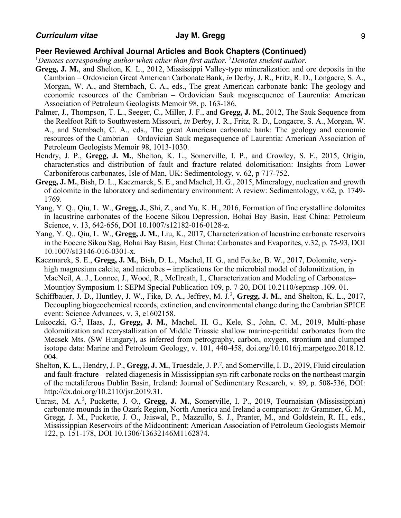- **Gregg, J. M.**, and Shelton, K. L., 2012, Mississippi Valley-type mineralization and ore deposits in the Cambrian – Ordovician Great American Carbonate Bank, *in* Derby, J. R., Fritz, R. D., Longacre, S. A., Morgan, W. A., and Sternbach, C. A., eds., The great American carbonate bank: The geology and economic resources of the Cambrian – Ordovician Sauk megasequence of Laurentia: American Association of Petroleum Geologists Memoir 98, p. 163-186.
- Palmer, J., Thompson, T. L., Seeger, C., Miller, J. F., and **Gregg, J. M.**, 2012, The Sauk Sequence from the Reelfoot Rift to Southwestern Missouri, *in* Derby, J. R., Fritz, R. D., Longacre, S. A., Morgan, W. A., and Sternbach, C. A., eds., The great American carbonate bank: The geology and economic resources of the Cambrian – Ordovician Sauk megasequence of Laurentia: American Association of Petroleum Geologists Memoir 98, 1013-1030.
- Hendry, J. P., **Gregg, J. M.**, Shelton, K. L., Somerville, I. P., and Crowley, S. F., 2015, Origin, characteristics and distribution of fault and fracture related dolomitisation: Insights from Lower Carboniferous carbonates, Isle of Man, UK: Sedimentology, v. 62, p 717-752.
- **Gregg, J. M.**, Bish, D. L., Kaczmarek, S. E., and Machel, H. G., 2015, Mineralogy, nucleation and growth of dolomite in the laboratory and sedimentary environment: A review: Sedimentology, v.62, p. 1749- 1769.
- Yang, Y. Q., Qiu, L. W., **Gregg, J.**, Shi, Z., and Yu, K. H., 2016, Formation of fine crystalline dolomites in lacustrine carbonates of the Eocene Sikou Depression, Bohai Bay Basin, East China: Petroleum Science, v. 13, 642-656, DOI 10.1007/s12182-016-0128-z.
- Yang, Y. Q., Qiu, L. W., **Gregg, J. M.**, Liu, K., 2017, Characterization of lacustrine carbonate reservoirs in the Eocene Sikou Sag, Bohai Bay Basin, East China: Carbonates and Evaporites, v.32, p. 75-93, DOI 10.1007/s13146-016-0301-x.
- Kaczmarek, S. E., **Gregg, J. M.**, Bish, D. L., Machel, H. G., and Fouke, B. W., 2017, Dolomite, veryhigh magnesium calcite, and microbes – implications for the microbial model of dolomitization, in MacNeil, A. J., Lonnee, J., Wood, R., McIlreath, I., Characterization and Modeling of Carbonates– Mountjoy Symposium 1: SEPM Special Publication 109, p. 7-20, DOI 10.2110/sepmsp .109. 01.
- Schiffbauer, J. D., Huntley, J. W., Fike, D. A., Jeffrey, M. J.<sup>2</sup>, Gregg, J. M., and Shelton, K. L., 2017, Decoupling biogeochemical records, extinction, and environmental change during the Cambrian SPICE event: Science Advances, v. 3, e1602158.
- Lukoczki, G.2 , Haas, J., **Gregg, J. M.**, Machel, H. G., Kele, S., John, C. M., 2019, Multi-phase dolomitization and recrystallization of Middle Triassic shallow marine-peritidal carbonates from the Mecsek Mts. (SW Hungary), as inferred from petrography, carbon, oxygen, strontium and clumped isotope data: Marine and Petroleum Geology, v. 101, 440-458, doi.org/10.1016/j.marpetgeo.2018.12. 004.
- Shelton, K. L., Hendry, J. P., Gregg, J. M., Truesdale, J. P.<sup>2</sup>, and Somerville, I. D., 2019, Fluid circulation and fault-fracture – related diagenesis in Mississippian syn-rift carbonate rocks on the northeast margin of the metaliferous Dublin Basin, Ireland: Journal of Sedimentary Research, v. 89, p. 508-536, DOI: http://dx.doi.org/10.2110/jsr.2019.31.
- Unrast, M. A.<sup>2</sup>, Puckette, J. O., Gregg, J. M., Somerville, I. P., 2019, Tournaisian (Mississippian) carbonate mounds in the Ozark Region, North America and Ireland a comparison: *in* Grammer, G. M., Gregg, J. M., Puckette, J. O., Jaiswal, P., Mazzullo, S. J., Pranter, M., and Goldstein, R. H., eds., Mississippian Reservoirs of the Midcontinent: American Association of Petroleum Geologists Memoir 122, p. 151-178, DOI 10.1306/13632146M1162874.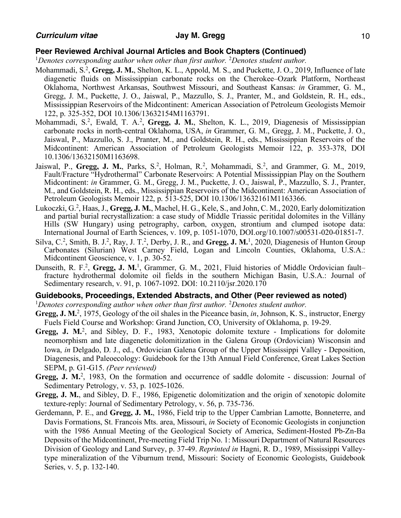<sup>1</sup>Denotes corresponding author when other than first author. <sup>2</sup>Denotes student author.

- Mohammadi, S.<sup>2</sup>, Gregg, J. M., Shelton, K. L., Appold, M. S., and Puckette, J. O., 2019, Influence of late diagenetic fluids on Mississippian carbonate rocks on the Cherokee–Ozark Platform, Northeast Oklahoma, Northwest Arkansas, Southwest Missouri, and Southeast Kansas: *in* Grammer, G. M., Gregg, J. M., Puckette, J. O., Jaiswal, P., Mazzullo, S. J., Pranter, M., and Goldstein, R. H., eds., Mississippian Reservoirs of the Midcontinent: American Association of Petroleum Geologists Memoir 122, p. 325-352, DOI 10.1306/13632154M1163791.
- Mohammadi, S.<sup>2</sup>, Ewald, T. A.<sup>2</sup>, Gregg, J. M., Shelton, K. L., 2019, Diagenesis of Mississippian carbonate rocks in north-central Oklahoma, USA, *in* Grammer, G. M., Gregg, J. M., Puckette, J. O., Jaiswal, P., Mazzullo, S. J., Pranter, M., and Goldstein, R. H., eds., Mississippian Reservoirs of the Midcontinent: American Association of Petroleum Geologists Memoir 122, p. 353-378, DOI 10.1306/13632150M1163698.
- Jaiswal, P., Gregg, J. M., Parks, S.<sup>2</sup>, Holman, R.<sup>2</sup>, Mohammadi, S.<sup>2</sup>, and Grammer, G. M., 2019, Fault/Fracture "Hydrothermal" Carbonate Reservoirs: A Potential Mississippian Play on the Southern Midcontinent: *in* Grammer, G. M., Gregg, J. M., Puckette, J. O., Jaiswal, P., Mazzullo, S. J., Pranter, M., and Goldstein, R. H., eds., Mississippian Reservoirs of the Midcontinent: American Association of Petroleum Geologists Memoir 122, p. 513-525, DOI 10.1306/13632161M1163366.
- Lukoczki, G.<sup>2</sup>, Haas, J., Gregg, J. M., Machel, H. G., Kele, S., and John, C. M., 2020, Early dolomitization and partial burial recrystallization: a case study of Middle Triassic peritidal dolomites in the Villány Hills (SW Hungary) using petrography, carbon, oxygen, strontium and clumped isotope data: International Journal of Earth Sciences, v. 109, p. 1051-1070, DOI.org/10.1007/s00531-020-01851-7.
- Silva, C.<sup>2</sup>, Smith, B. J.<sup>2</sup>, Ray, J. T.<sup>2</sup>, Derby, J. R., and Gregg, J. M.<sup>1</sup>, 2020, Diagenesis of Hunton Group Carbonates (Silurian) West Carney Field, Logan and Lincoln Counties, Oklahoma, U.S.A.: Midcontinent Geoscience, v. 1, p. 30-52.
- Dunseith, R. F.<sup>2</sup>, Gregg, J. M.<sup>1</sup>, Grammer, G. M., 2021, Fluid histories of Middle Ordovician fault– fracture hydrothermal dolomite oil fields in the southern Michigan Basin, U.S.A.: Journal of Sedimentary research, v. 91, p. 1067-1092. DOI: 10.2110/jsr.2020.170

## **Guidebooks, Proceedings, Extended Abstracts, and Other (Peer reviewed as noted)**

<sup>1</sup>Denotes corresponding author when other than first author. <sup>2</sup>Denotes student author.

- Gregg, J. M.<sup>2</sup>, 1975, Geology of the oil shales in the Piceance basin, *in*, Johnson, K. S., instructor, Energy Fuels Field Course and Workshop: Grand Junction, CO, University of Oklahoma, p. 19-29.
- **Gregg, J. M.**2, and Sibley, D. F., 1983, Xenotopic dolomite texture Implications for dolomite neomorphism and late diagenetic dolomitization in the Galena Group (Ordovician) Wisconsin and Iowa, *in* Delgado, D. J., ed., Ordovician Galena Group of the Upper Mississippi Valley - Deposition, Diagenesis, and Paleoecology: Guidebook for the 13th Annual Field Conference, Great Lakes Section SEPM, p. G1-G15. *(Peer reviewed)*
- Gregg, J. M.<sup>2</sup>, 1983, On the formation and occurrence of saddle dolomite discussion: Journal of Sedimentary Petrology, v. 53, p. 1025-1026.
- **Gregg, J. M.**, and Sibley, D. F., 1986, Epigenetic dolomitization and the origin of xenotopic dolomite texture-reply: Journal of Sedimentary Petrology, v. 56, p. 735-736.
- Gerdemann, P. E., and **Gregg, J. M.**, 1986, Field trip to the Upper Cambrian Lamotte, Bonneterre, and Davis Formations, St. Francois Mts. area, Missouri, *in* Society of Economic Geologists in conjunction with the 1986 Annual Meeting of the Geological Society of America, Sediment-Hosted Pb-Zn-Ba Deposits of the Midcontinent, Pre-meeting Field Trip No. 1: Missouri Department of Natural Resources Division of Geology and Land Survey, p. 37-49. *Reprinted in* Hagni, R. D., 1989, Mississippi Valleytype mineralization of the Viburnum trend, Missouri: Society of Economic Geologists, Guidebook Series, v. 5, p. 132-140.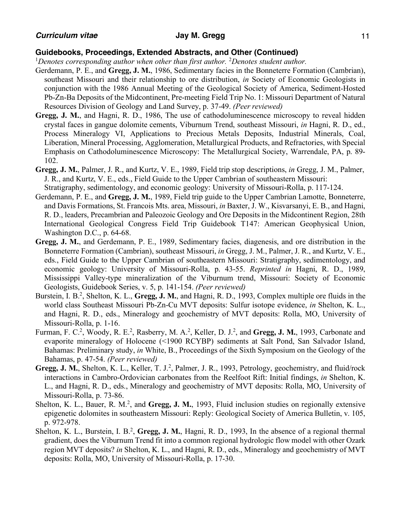- Gerdemann, P. E., and **Gregg, J. M.**, 1986, Sedimentary facies in the Bonneterre Formation (Cambrian), southeast Missouri and their relationship to ore distribution, *in* Society of Economic Geologists in conjunction with the 1986 Annual Meeting of the Geological Society of America, Sediment-Hosted Pb-Zn-Ba Deposits of the Midcontinent, Pre-meeting Field Trip No. 1: Missouri Department of Natural Resources Division of Geology and Land Survey, p. 37-49. *(Peer reviewed)*
- **Gregg, J. M.**, and Hagni, R. D., 1986, The use of cathodoluminescence microscopy to reveal hidden crystal faces in gangue dolomite cements, Viburnum Trend, southeast Missouri, *in* Hagni, R. D., ed., Process Mineralogy VI, Applications to Precious Metals Deposits, Industrial Minerals, Coal, Liberation, Mineral Processing, Agglomeration, Metallurgical Products, and Refractories, with Special Emphasis on Cathodoluminescence Microscopy: The Metallurgical Society, Warrendale, PA, p. 89- 102.
- **Gregg, J. M.**, Palmer, J. R., and Kurtz, V. E., 1989, Field trip stop descriptions, *in* Gregg, J. M., Palmer, J. R., and Kurtz, V. E., eds., Field Guide to the Upper Cambrian of southeastern Missouri: Stratigraphy, sedimentology, and economic geology: University of Missouri-Rolla, p. 117-124.
- Gerdemann, P. E., and **Gregg, J. M.**, 1989, Field trip guide to the Upper Cambrian Lamotte, Bonneterre, and Davis Formations, St. Francois Mts. area, Missouri, *in* Baxter, J. W., Kisvarsanyi, E. B., and Hagni, R. D., leaders, Precambrian and Paleozoic Geology and Ore Deposits in the Midcontinent Region, 28th International Geological Congress Field Trip Guidebook T147: American Geophysical Union, Washington D.C., p. 64-68.
- **Gregg, J. M.**, and Gerdemann, P. E., 1989, Sedimentary facies, diagenesis, and ore distribution in the Bonneterre Formation (Cambrian), southeast Missouri, *in* Gregg, J. M., Palmer, J. R., and Kurtz, V. E., eds., Field Guide to the Upper Cambrian of southeastern Missouri: Stratigraphy, sedimentology, and economic geology: University of Missouri-Rolla, p. 43-55. *Reprinted in* Hagni, R. D., 1989, Mississippi Valley-type mineralization of the Viburnum trend, Missouri: Society of Economic Geologists, Guidebook Series, v. 5, p. 141-154. *(Peer reviewed)*
- Burstein, I. B.<sup>2</sup>, Shelton, K. L., Gregg, J. M., and Hagni, R. D., 1993, Complex multiple ore fluids in the world class Southeast Missouri Pb-Zn-Cu MVT deposits: Sulfur isotope evidence, *in* Shelton, K. L., and Hagni, R. D., eds., Mineralogy and geochemistry of MVT deposits: Rolla, MO, University of Missouri-Rolla, p. 1-16.
- Furman, F. C.<sup>2</sup>, Woody, R. E.<sup>2</sup>, Rasberry, M. A.<sup>2</sup>, Keller, D. J.<sup>2</sup>, and Gregg, J. M., 1993, Carbonate and evaporite mineralogy of Holocene (<1900 RCYBP) sediments at Salt Pond, San Salvador Island, Bahamas: Preliminary study, *in* White, B., Proceedings of the Sixth Symposium on the Geology of the Bahamas, p. 47-54. *(Peer reviewed)*
- Gregg, J. M., Shelton, K. L., Keller, T. J.<sup>2</sup>, Palmer, J. R., 1993, Petrology, geochemistry, and fluid/rock interactions in Cambro-Ordovician carbonates from the Reelfoot Rift: Initial findings, *in* Shelton, K. L., and Hagni, R. D., eds., Mineralogy and geochemistry of MVT deposits: Rolla, MO, University of Missouri-Rolla, p. 73-86.
- Shelton, K. L., Bauer, R. M.<sup>2</sup>, and Gregg, J. M., 1993, Fluid inclusion studies on regionally extensive epigenetic dolomites in southeastern Missouri: Reply: Geological Society of America Bulletin, v. 105, p. 972-978.
- Shelton, K. L., Burstein, I. B.<sup>2</sup>, Gregg, J. M., Hagni, R. D., 1993, In the absence of a regional thermal gradient, does the Viburnum Trend fit into a common regional hydrologic flow model with other Ozark region MVT deposits? *in* Shelton, K. L., and Hagni, R. D., eds., Mineralogy and geochemistry of MVT deposits: Rolla, MO, University of Missouri-Rolla, p. 17-30.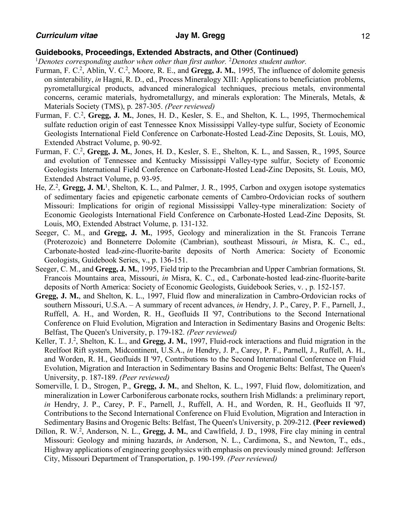<sup>1</sup>Denotes corresponding author when other than first author. <sup>2</sup>Denotes student author.

- Furman, F. C.<sup>2</sup>, Ablin, V. C.<sup>2</sup>, Moore, R. E., and **Gregg, J. M.**, 1995, The influence of dolomite genesis on sinterability, *in* Hagni, R. D., ed., Process Mineralogy XIII: Applications to beneficiation problems, pyrometallurgical products, advanced mineralogical techniques, precious metals, environmental concerns, ceramic materials, hydrometallurgy, and minerals exploration: The Minerals, Metals, & Materials Society (TMS), p. 287-305. *(Peer reviewed)*
- Furman, F. C.<sup>2</sup>, Gregg, J. M., Jones, H. D., Kesler, S. E., and Shelton, K. L., 1995, Thermochemical sulfate reduction origin of east Tennessee Knox Mississippi Valley-type sulfur, Society of Economic Geologists International Field Conference on Carbonate-Hosted Lead-Zinc Deposits, St. Louis, MO, Extended Abstract Volume, p. 90-92.
- Furman, F. C.2, **Gregg, J. M.**, Jones, H. D., Kesler, S. E., Shelton, K. L., and Sassen, R., 1995, Source and evolution of Tennessee and Kentucky Mississippi Valley-type sulfur, Society of Economic Geologists International Field Conference on Carbonate-Hosted Lead-Zinc Deposits, St. Louis, MO, Extended Abstract Volume, p. 93-95.
- He, Z.<sup>2</sup>, Gregg, J. M.<sup>1</sup>, Shelton, K. L., and Palmer, J. R., 1995, Carbon and oxygen isotope systematics of sedimentary facies and epigenetic carbonate cements of Cambro-Ordovician rocks of southern Missouri: Implications for origin of regional Mississippi Valley-type mineralization: Society of Economic Geologists International Field Conference on Carbonate-Hosted Lead-Zinc Deposits, St. Louis, MO, Extended Abstract Volume, p. 131-132.
- Seeger, C. M., and **Gregg, J. M.**, 1995, Geology and mineralization in the St. Francois Terrane (Proterozoic) and Bonneterre Dolomite (Cambrian), southeast Missouri, *in* Misra, K. C., ed., Carbonate-hosted lead-zinc-fluorite-barite deposits of North America: Society of Economic Geologists, Guidebook Series, v., p. 136-151.
- Seeger, C. M., and **Gregg, J. M.**, 1995, Field trip to the Precambrian and Upper Cambrian formations, St. Francois Mountains area, Missouri, *in* Misra, K. C., ed., Carbonate-hosted lead-zinc-fluorite-barite deposits of North America: Society of Economic Geologists, Guidebook Series, v. , p. 152-157.
- **Gregg, J. M.**, and Shelton, K. L., 1997, Fluid flow and mineralization in Cambro-Ordovician rocks of southern Missouri, U.S.A. – A summary of recent advances, *in* Hendry, J. P., Carey, P. F., Parnell, J., Ruffell, A. H., and Worden, R. H., Geofluids II '97, Contributions to the Second International Conference on Fluid Evolution, Migration and Interaction in Sedimentary Basins and Orogenic Belts: Belfast, The Queen's University, p. 179-182. *(Peer reviewed)*
- Keller, T. J.<sup>2</sup>, Shelton, K. L., and Gregg, J. M., 1997, Fluid-rock interactions and fluid migration in the Reelfoot Rift system, Midcontinent, U.S.A., *in* Hendry, J. P., Carey, P. F., Parnell, J., Ruffell, A. H., and Worden, R. H., Geofluids II '97, Contributions to the Second International Conference on Fluid Evolution, Migration and Interaction in Sedimentary Basins and Orogenic Belts: Belfast, The Queen's University, p. 187-189. *(Peer reviewed)*
- Somerville, I. D., Strogen, P., **Gregg, J. M.**, and Shelton, K. L., 1997, Fluid flow, dolomitization, and mineralization in Lower Carboniferous carbonate rocks, southern Irish Midlands: a preliminary report, *in* Hendry, J. P., Carey, P. F., Parnell, J., Ruffell, A. H., and Worden, R. H., Geofluids II '97, Contributions to the Second International Conference on Fluid Evolution, Migration and Interaction in Sedimentary Basins and Orogenic Belts: Belfast, The Queen's University, p. 209-212. **(Peer reviewed)**
- Dillon, R. W.<sup>2</sup>, Anderson, N. L., Gregg, J. M., and Cawlfield, J. D., 1998, Fire clay mining in central Missouri: Geology and mining hazards, *in* Anderson, N. L., Cardimona, S., and Newton, T., eds., Highway applications of engineering geophysics with emphasis on previously mined ground: Jefferson City, Missouri Department of Transportation, p. 190-199. *(Peer reviewed)*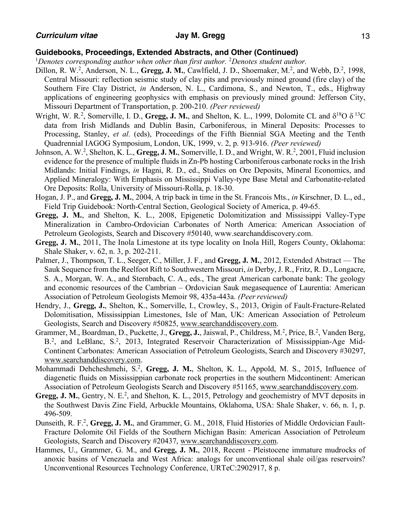<sup>1</sup>Denotes corresponding author when other than first author. <sup>2</sup>Denotes student author.

- Dillon, R. W.<sup>2</sup>, Anderson, N. L., Gregg, J. M., Cawlfield, J. D., Shoemaker, M.<sup>2</sup>, and Webb, D.<sup>2</sup>, 1998, Central Missouri: reflection seismic study of clay pits and previously mined ground (fire clay) of the Southern Fire Clay District, *in* Anderson, N. L., Cardimona, S., and Newton, T., eds., Highway applications of engineering geophysics with emphasis on previously mined ground: Jefferson City, Missouri Department of Transportation, p. 200-210. *(Peer reviewed)*
- Wright, W. R.<sup>2</sup>, Somerville, I. D., **Gregg, J. M.**, and Shelton, K. L., 1999, Dolomite CL and  $\delta^{18}O \delta^{13}C$ data from Irish Midlands and Dublin Basin, Carboniferous, in Mineral Deposits: Processes to Processing, Stanley, *et al.* (eds), Proceedings of the Fifth Biennial SGA Meeting and the Tenth Quadrennial IAGOG Symposium, London, UK, 1999, v. 2, p. 913-916. *(Peer reviewed)*
- Johnson, A. W.<sup>2</sup>, Shelton, K. L., Gregg, J. M., Somerville, I. D., and Wright, W. R.<sup>2</sup>, 2001, Fluid inclusion evidence for the presence of multiple fluids in Zn-Pb hosting Carboniferous carbonate rocks in the Irish Midlands: Initial Findings, *in* Hagni, R. D., ed., Studies on Ore Deposits, Mineral Economics, and Applied Mineralogy: With Emphasis on Mississippi Valley-type Base Metal and Carbonatite-related Ore Deposits: Rolla, University of Missouri-Rolla, p. 18-30.
- Hogan, J. P., and **Gregg, J. M.**, 2004, A trip back in time in the St. Francois Mts., *in* Kirschner, D. L., ed., Field Trip Guidebook: North-Central Section, Geological Society of America, p. 49-65.
- **Gregg, J. M.**, and Shelton, K. L., 2008, Epigenetic Dolomitization and Mississippi Valley-Type Mineralization in Cambro-Ordovician Carbonates of North America: American Association of Petroleum Geologists, Search and Discovery #50140, www.searchanddiscovery.com.
- **Gregg, J. M.**, 2011, The Inola Limestone at its type locality on Inola Hill, Rogers County, Oklahoma: Shale Shaker, v. 62, n. 3, p. 202-211.
- Palmer, J., Thompson, T. L., Seeger, C., Miller, J. F., and **Gregg, J. M.**, 2012, Extended Abstract The Sauk Sequence from the Reelfoot Rift to Southwestern Missouri, *in* Derby, J. R., Fritz, R. D., Longacre, S. A., Morgan, W. A., and Sternbach, C. A., eds., The great American carbonate bank: The geology and economic resources of the Cambrian – Ordovician Sauk megasequence of Laurentia: American Association of Petroleum Geologists Memoir 98, 435a-443a. *(Peerreviewed)*
- Hendry, J., **Gregg, J.**, Shelton, K., Somerville, I., Crowley, S., 2013, Origin of Fault-Fracture-Related Dolomitisation, Mississippian Limestones, Isle of Man, UK: American Association of Petroleum Geologists, Search and Discovery #50825, www.searchanddiscovery.com.
- Grammer, M., Boardman, D., Puckette, J., **Gregg, J.**, Jaiswal, P., Childress, M.2, Price, B.2, Vanden Berg, B.<sup>2</sup>, and LeBlanc, S.<sup>2</sup>, 2013, Integrated Reservoir Characterization of Mississippian-Age Mid-Continent Carbonates: American Association of Petroleum Geologists, Search and Discovery #30297, www.searchanddiscovery.com.
- Mohammadi Dehcheshmehi, S.<sup>2</sup>, Gregg, J. M., Shelton, K. L., Appold, M. S., 2015, Influence of diagenetic fluids on Mississippian carbonate rock properties in the southern Midcontinent: American Association of Petroleum Geologists Search and Discovery #51165, www.searchanddiscovery.com.
- Gregg, J. M., Gentry, N. E.<sup>2</sup>, and Shelton, K. L., 2015, Petrology and geochemistry of MVT deposits in the Southwest Davis Zinc Field, Arbuckle Mountains, Oklahoma, USA: Shale Shaker, v. 66, n. 1, p. 496-509.
- Dunseith, R. F.<sup>2</sup>, Gregg, J. M., and Grammer, G. M., 2018, Fluid Histories of Middle Ordovician Fault-Fracture Dolomite Oil Fields of the Southern Michigan Basin: American Association of Petroleum Geologists, Search and Discovery #20437, www.searchanddiscovery.com.
- Hammes, U., Grammer, G. M., and **Gregg, J. M.**, 2018, Recent Pleistocene immature mudrocks of anoxic basins of Venezuela and West Africa: analogs for unconventional shale oil/gas reservoirs? Unconventional Resources Technology Conference, URTeC:2902917, 8 p.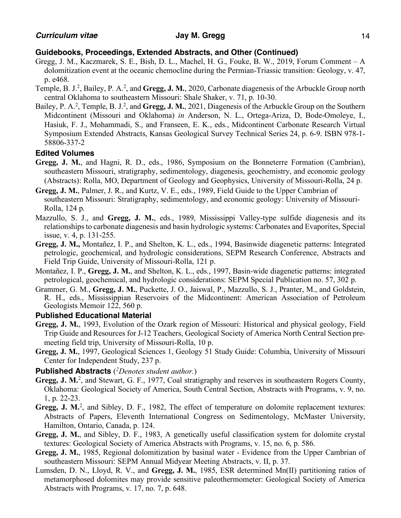- Gregg, J. M., Kaczmarek, S. E., Bish, D. L., Machel, H. G., Fouke, B. W., 2019, Forum Comment A dolomitization event at the oceanic chemocline during the Permian-Triassic transition: Geology, v. 47, p. e468.
- Temple, B. J.<sup>2</sup>, Bailey, P. A.<sup>2</sup>, and Gregg, J. M., 2020, Carbonate diagenesis of the Arbuckle Group north central Oklahoma to southeastern Missouri: Shale Shaker, v. 71, p. 10-30.
- Bailey, P. A.<sup>2</sup>, Temple, B. J.<sup>2</sup>, and Gregg, J. M., 2021, Diagenesis of the Arbuckle Group on the Southern Midcontinent (Missouri and Oklahoma) *in* Anderson, N. L., Ortega-Ariza, D, Bode-Omoleye, I., Hasiuk, F. J., Mohammadi, S., and Franseen, E. K., eds., Midcontinent Carbonate Research Virtual Symposium Extended Abstracts, Kansas Geological Survey Technical Series 24, p. 6-9. ISBN 978-1- 58806-337-2

## **Edited Volumes**

- **Gregg, J. M.**, and Hagni, R. D., eds., 1986, Symposium on the Bonneterre Formation (Cambrian), southeastern Missouri, stratigraphy, sedimentology, diagenesis, geochemistry, and economic geology (Abstracts): Rolla, MO, Department of Geology and Geophysics, University of Missouri-Rolla, 24 p.
- **Gregg, J. M.**, Palmer, J. R., and Kurtz, V. E., eds., 1989, Field Guide to the Upper Cambrian of southeastern Missouri: Stratigraphy, sedimentology, and economic geology: University of Missouri-Rolla, 124 p.
- Mazzullo, S. J., and **Gregg, J. M.**, eds., 1989, Mississippi Valley-type sulfide diagenesis and its relationships to carbonate diagenesis and basin hydrologic systems: Carbonates and Evaporites, Special issue, v. 4, p. 131-255.
- **Gregg, J. M.,** Montañez, I. P., and Shelton, K. L., eds., 1994, Basinwide diagenetic patterns: Integrated petrologic, geochemical, and hydrologic considerations, SEPM Research Conference, Abstracts and Field Trip Guide, University of Missouri-Rolla, 121 p.
- Montañez, I. P., **Gregg, J. M.**, and Shelton, K. L., eds., 1997, Basin-wide diagenetic patterns: integrated petrological, geochemical, and hydrologic considerations: SEPM Special Publication no. 57, 302 p.
- Grammer, G. M., **Gregg, J. M.**, Puckette, J. O., Jaiswal, P., Mazzullo, S. J., Pranter, M., and Goldstein, R. H., eds., Mississippian Reservoirs of the Midcontinent: American Association of Petroleum Geologists Memoir 122, 560 p.

# **Published Educational Material**

- **Gregg, J. M.**, 1993, Evolution of the Ozark region of Missouri: Historical and physical geology, Field Trip Guide and Resources for J-12 Teachers, Geological Society of America North Central Section premeeting field trip, University of Missouri-Rolla, 10 p.
- **Gregg, J. M.**, 1997, Geological Sciences 1, Geology 51 Study Guide: Columbia, University of Missouri Center for Independent Study, 237 p.

## **Published Abstracts** (*2Denotes student author.*)

- Gregg, J. M.<sup>2</sup>, and Stewart, G. F., 1977, Coal stratigraphy and reserves in southeastern Rogers County, Oklahoma: Geological Society of America, South Central Section, Abstracts with Programs, v. 9, no. 1, p. 22-23.
- Gregg, J. M.<sup>2</sup>, and Sibley, D. F., 1982, The effect of temperature on dolomite replacement textures: Abstracts of Papers, Eleventh International Congress on Sedimentology, McMaster University, Hamilton, Ontario, Canada, p. 124.
- **Gregg, J. M.**, and Sibley, D. F., 1983, A genetically useful classification system for dolomite crystal textures: Geological Society of America Abstracts with Programs, v. 15, no. 6, p. 586.
- **Gregg, J. M.**, 1985, Regional dolomitization by basinal water Evidence from the Upper Cambrian of southeastern Missouri: SEPM Annual Midyear Meeting Abstracts, v. II, p. 37.
- Lumsden, D. N., Lloyd, R. V., and **Gregg, J. M.**, 1985, ESR determined Mn(II) partitioning ratios of metamorphosed dolomites may provide sensitive paleothermometer: Geological Society of America Abstracts with Programs, v. 17, no. 7, p. 648.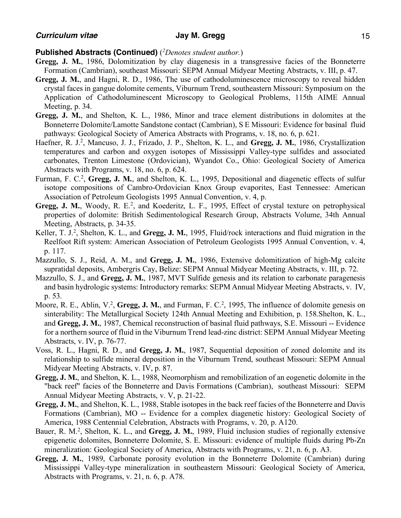- **Gregg, J. M.**, 1986, Dolomitization by clay diagenesis in a transgressive facies of the Bonneterre Formation (Cambrian), southeast Missouri: SEPM Annual Midyear Meeting Abstracts, v. III, p. 47.
- **Gregg, J. M.**, and Hagni, R. D., 1986, The use of cathodoluminescence microscopy to reveal hidden crystal faces in gangue dolomite cements, Viburnum Trend, southeastern Missouri: Symposium on the Application of Cathodoluminescent Microscopy to Geological Problems, 115th AIME Annual Meeting, p. 34.
- **Gregg, J. M.**, and Shelton, K. L., 1986, Minor and trace element distributions in dolomites at the Bonneterre Dolomite/Lamotte Sandstone contact (Cambrian), S E Missouri: Evidence for basinal fluid pathways: Geological Society of America Abstracts with Programs, v. 18, no. 6, p. 621.
- Haefner, R. J.2, Mancuso, J. J., Frizado, J. P., Shelton, K. L., and **Gregg, J. M.**, 1986, Crystallization temperatures and carbon and oxygen isotopes of Mississippi Valley-type sulfides and associated carbonates, Trenton Limestone (Ordovician), Wyandot Co., Ohio: Geological Society of America Abstracts with Programs, v. 18, no. 6, p. 624.
- Furman, F. C.<sup>2</sup>, Gregg, J. M., and Shelton, K. L., 1995, Depositional and diagenetic effects of sulfur isotope compositions of Cambro-Ordovician Knox Group evaporites, East Tennessee: American Association of Petroleum Geologists 1995 Annual Convention, v. 4, p.
- Gregg, J. M., Woody, R. E.<sup>2</sup>, and Koederitz, L. F., 1995, Effect of crystal texture on petrophysical properties of dolomite: British Sedimentological Research Group, Abstracts Volume, 34th Annual Meeting, Abstracts, p. 34-35.
- Keller, T. J.2, Shelton, K. L., and **Gregg, J. M.**, 1995, Fluid/rock interactions and fluid migration in the Reelfoot Rift system: American Association of Petroleum Geologists 1995 Annual Convention, v. 4, p. 117.
- Mazzullo, S. J., Reid, A. M., and **Gregg, J. M.**, 1986, Extensive dolomitization of high-Mg calcite supratidal deposits, Ambergris Cay, Belize: SEPM Annual Midyear Meeting Abstracts, v. III, p. 72.
- Mazzullo, S. J., and **Gregg, J. M.**, 1987, MVT Sulfide genesis and its relation to carbonate paragenesis and basin hydrologic systems: Introductory remarks: SEPM Annual Midyear Meeting Abstracts, v. IV, p. 53.
- Moore, R. E., Ablin, V.<sup>2</sup>, Gregg, J. M., and Furman, F. C.<sup>2</sup>, 1995, The influence of dolomite genesis on sinterability: The Metallurgical Society 124th Annual Meeting and Exhibition, p. 158.Shelton, K. L., and **Gregg, J. M.**, 1987, Chemical reconstruction of basinal fluid pathways, S.E. Missouri -- Evidence for a northern source of fluid in the Viburnum Trend lead-zinc district: SEPM Annual Midyear Meeting Abstracts, v. IV, p. 76-77.
- Voss, R. L., Hagni, R. D., and **Gregg, J. M.**, 1987, Sequential deposition of zoned dolomite and its relationship to sulfide mineral deposition in the Viburnum Trend, southeast Missouri: SEPM Annual Midyear Meeting Abstracts, v. IV, p. 87.
- **Gregg, J. M.**, and Shelton, K. L., 1988, Neomorphism and remobilization of an eogenetic dolomite in the "back reef" facies of the Bonneterre and Davis Formations (Cambrian), southeast Missouri: SEPM Annual Midyear Meeting Abstracts, v. V, p. 21-22.
- **Gregg, J. M.**, and Shelton, K. L., 1988, Stable isotopes in the back reef facies of the Bonneterre and Davis Formations (Cambrian), MO -- Evidence for a complex diagenetic history: Geological Society of America, 1988 Centennial Celebration, Abstracts with Programs, v. 20, p. A120.
- Bauer, R. M.<sup>2</sup>, Shelton, K. L., and Gregg, J. M., 1989, Fluid inclusion studies of regionally extensive epigenetic dolomites, Bonneterre Dolomite, S. E. Missouri: evidence of multiple fluids during Pb-Zn mineralization: Geological Society of America, Abstracts with Programs, v. 21, n. 6, p. A3.
- **Gregg, J. M.**, 1989, Carbonate porosity evolution in the Bonneterre Dolomite (Cambrian) during Mississippi Valley-type mineralization in southeastern Missouri: Geological Society of America, Abstracts with Programs, v. 21, n. 6, p. A78.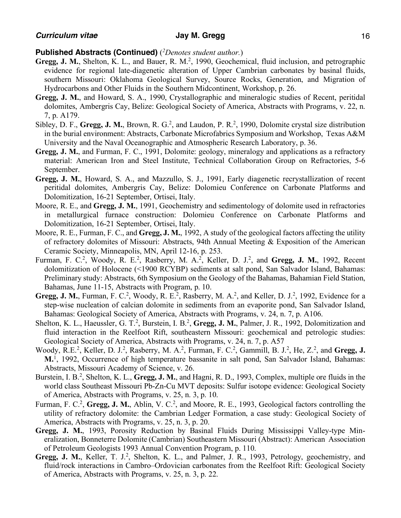- Gregg, J. M., Shelton, K. L., and Bauer, R. M.<sup>2</sup>, 1990, Geochemical, fluid inclusion, and petrographic evidence for regional late-diagenetic alteration of Upper Cambrian carbonates by basinal fluids, southern Missouri: Oklahoma Geological Survey, Source Rocks, Generation, and Migration of Hydrocarbons and Other Fluids in the Southern Midcontinent, Workshop, p. 26.
- **Gregg, J. M.**, and Howard, S. A., 1990, Crystallographic and mineralogic studies of Recent, peritidal dolomites, Ambergris Cay, Belize: Geological Society of America, Abstracts with Programs, v. 22, n. 7, p. A179.
- Sibley, D. F., Gregg, J. M., Brown, R. G.<sup>2</sup>, and Laudon, P. R.<sup>2</sup>, 1990, Dolomite crystal size distribution in the burial environment: Abstracts, Carbonate Microfabrics Symposium and Workshop, Texas A&M University and the Naval Oceanographic and Atmospheric Research Laboratory, p. 36.
- **Gregg, J. M.**, and Furman, F. C., 1991, Dolomite: geology, mineralogy and applications as a refractory material: American Iron and Steel Institute, Technical Collaboration Group on Refractories, 5-6 September.
- **Gregg, J. M.**, Howard, S. A., and Mazzullo, S. J., 1991, Early diagenetic recrystallization of recent peritidal dolomites, Ambergris Cay, Belize: Dolomieu Conference on Carbonate Platforms and Dolomitization, 16-21 September, Ortisei, Italy.
- Moore, R. E., and **Gregg, J. M.**, 1991, Geochemistry and sedimentology of dolomite used in refractories in metallurgical furnace construction: Dolomieu Conference on Carbonate Platforms and Dolomitization, 16-21 September, Ortisei, Italy.
- Moore, R. E., Furman, F. C., and **Gregg, J. M.**, 1992, A study of the geological factors affecting the utility of refractory dolomites of Missouri: Abstracts, 94th Annual Meeting & Exposition of the American Ceramic Society, Minneapolis, MN, April 12-16, p. 253.
- Furman, F. C.<sup>2</sup>, Woody, R. E.<sup>2</sup>, Rasberry, M. A.<sup>2</sup>, Keller, D. J.<sup>2</sup>, and Gregg, J. M., 1992, Recent dolomitization of Holocene (<1900 RCYBP) sediments at salt pond, San Salvador Island, Bahamas: Preliminary study: Abstracts, 6th Symposium on the Geology of the Bahamas, Bahamian Field Station, Bahamas, June 11-15, Abstracts with Program, p. 10.
- Gregg, J. M., Furman, F. C.<sup>2</sup>, Woody, R. E.<sup>2</sup>, Rasberry, M. A.<sup>2</sup>, and Keller, D. J.<sup>2</sup>, 1992, Evidence for a step-wise nucleation of calcian dolomite in sediments from an evaporite pond, San Salvador Island, Bahamas: Geological Society of America, Abstracts with Programs, v. 24, n. 7, p. A106.
- Shelton, K. L., Haeussler, G. T.<sup>2</sup>, Burstein, I. B.<sup>2</sup>, Gregg, J. M., Palmer, J. R., 1992, Dolomitization and fluid interaction in the Reelfoot Rift, southeastern Missouri: geochemical and petrologic studies: Geological Society of America, Abstracts with Programs, v. 24, n. 7, p. A57
- Woody, R.E.<sup>2</sup>, Keller, D. J.<sup>2</sup>, Rasberry, M. A.<sup>2</sup>, Furman, F. C.<sup>2</sup>, Gammill, B. J.<sup>2</sup>, He, Z.<sup>2</sup>, and **Gregg, J. M.**<sup>1</sup> , 1992, Occurrence of high temperature bassanite in salt pond, San Salvador Island, Bahamas: Abstracts, Missouri Academy of Science, v. 26.
- Burstein, I. B.<sup>2</sup>, Shelton, K. L., Gregg, J. M., and Hagni, R. D., 1993, Complex, multiple ore fluids in the world class Southeast Missouri Pb-Zn-Cu MVT deposits: Sulfur isotope evidence: Geological Society of America, Abstracts with Programs, v. 25, n. 3, p. 10.
- Furman, F. C.<sup>2</sup>, Gregg, J. M., Ablin, V. C.<sup>2</sup>, and Moore, R. E., 1993, Geological factors controlling the utility of refractory dolomite: the Cambrian Ledger Formation, a case study: Geological Society of America, Abstracts with Programs, v. 25, n. 3, p. 20.
- **Gregg, J. M.**, 1993, Porosity Reduction by Basinal Fluids During Mississippi Valley-type Mineralization, Bonneterre Dolomite (Cambrian) Southeastern Missouri (Abstract): American Association of Petroleum Geologists 1993 Annual Convention Program, p. 110.
- Gregg, J. M., Keller, T. J.<sup>2</sup>, Shelton, K. L., and Palmer, J. R., 1993, Petrology, geochemistry, and fluid/rock interactions in Cambro–Ordovician carbonates from the Reelfoot Rift: Geological Society of America, Abstracts with Programs, v. 25, n. 3, p. 22.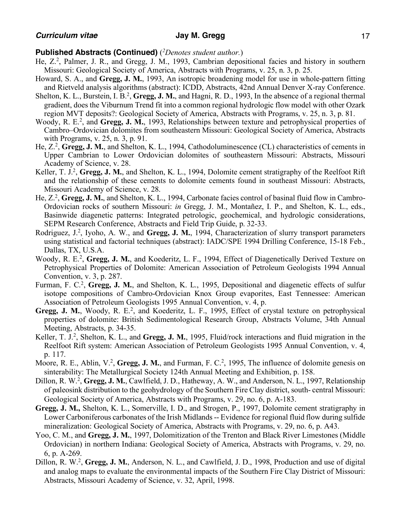- He, Z.<sup>2</sup>, Palmer, J. R., and Gregg, J. M., 1993, Cambrian depositional facies and history in southern Missouri: Geological Society of America, Abstracts with Programs, v. 25, n. 3, p. 25.
- Howard, S. A., and **Gregg, J. M.**, 1993, An isotropic broadening model for use in whole-pattern fitting and Rietveld analysis algorithms (abstract): ICDD, Abstracts, 42nd Annual Denver X-ray Conference.
- Shelton, K. L., Burstein, I. B.<sup>2</sup>, Gregg, J. M., and Hagni, R. D., 1993, In the absence of a regional thermal gradient, does the Viburnum Trend fit into a common regional hydrologic flow model with other Ozark region MVT deposits?: Geological Society of America, Abstracts with Programs, v. 25, n. 3, p. 81.
- Woody, R. E.<sup>2</sup>, and Gregg, J. M., 1993, Relationships between texture and petrophysical properties of Cambro–Ordovician dolomites from southeastern Missouri: Geological Society of America, Abstracts with Programs, v. 25, n. 3, p. 91.
- He, Z.2, **Gregg, J. M.**, and Shelton, K. L., 1994, Cathodoluminescence (CL) characteristics of cements in Upper Cambrian to Lower Ordovician dolomites of southeastern Missouri: Abstracts, Missouri Academy of Science, v. 28.
- Keller, T. J.<sup>2</sup>, Gregg, J. M., and Shelton, K. L., 1994, Dolomite cement stratigraphy of the Reelfoot Rift and the relationship of these cements to dolomite cements found in southeast Missouri: Abstracts, Missouri Academy of Science, v. 28.
- He, Z.<sup>2</sup>, Gregg, J. M., and Shelton, K. L., 1994, Carbonate facies control of basinal fluid flow in Cambro-Ordovician rocks of southern Missouri: *in* Gregg, J. M., Montañez, I. P., and Shelton, K. L., eds., Basinwide diagenetic patterns: Integrated petrologic, geochemical, and hydrologic considerations, SEPM Research Conference, Abstracts and Field Trip Guide, p. 32-33.
- Rodriguez, J.<sup>2</sup>, Iyoho, A. W., and Gregg, J. M., 1994, Characterization of slurry transport parameters using statistical and factorial techniques (abstract): IADC/SPE 1994 Drilling Conference, 15-18 Feb., Dallas, TX, U.S.A.
- Woody, R. E.<sup>2</sup>, Gregg, J. M., and Koederitz, L. F., 1994, Effect of Diagenetically Derived Texture on Petrophysical Properties of Dolomite: American Association of Petroleum Geologists 1994 Annual Convention, v. 3, p. 287.
- Furman, F. C.<sup>2</sup>, Gregg, J. M., and Shelton, K. L., 1995, Depositional and diagenetic effects of sulfur isotope compositions of Cambro-Ordovician Knox Group evaporites, East Tennessee: American Association of Petroleum Geologists 1995 Annual Convention, v. 4, p.
- Gregg, J. M., Woody, R. E.<sup>2</sup>, and Koederitz, L. F., 1995, Effect of crystal texture on petrophysical properties of dolomite: British Sedimentological Research Group, Abstracts Volume, 34th Annual Meeting, Abstracts, p. 34-35.
- Keller, T. J.<sup>2</sup>, Shelton, K. L., and Gregg, J. M., 1995, Fluid/rock interactions and fluid migration in the Reelfoot Rift system: American Association of Petroleum Geologists 1995 Annual Convention, v. 4, p. 117.
- Moore, R. E., Ablin, V.<sup>2</sup>, Gregg, J. M., and Furman, F. C.<sup>2</sup>, 1995, The influence of dolomite genesis on sinterability: The Metallurgical Society 124th Annual Meeting and Exhibition, p. 158.
- Dillon, R. W.<sup>2</sup>, Gregg, J. M., Cawlfield, J. D., Hatheway, A. W., and Anderson, N. L., 1997, Relationship of paleosink distribution to the geohydrology of the Southern Fire Clay district, south- central Missouri: Geological Society of America, Abstracts with Programs, v. 29, no. 6, p. A-183.
- **Gregg, J. M.,** Shelton, K. L., Somerville, I. D., and Strogen, P., 1997, Dolomite cement stratigraphy in Lower Carboniferous carbonates of the Irish Midlands -- Evidence for regional fluid flow during sulfide mineralization: Geological Society of America, Abstracts with Programs, v. 29, no. 6, p. A43.
- Yoo, C. M., and **Gregg, J. M.**, 1997, Dolomitization of the Trenton and Black River Limestones (Middle Ordovician) in northern Indiana: Geological Society of America, Abstracts with Programs, v. 29, no. 6, p. A-269.
- Dillon, R. W.<sup>2</sup>, Gregg, J. M., Anderson, N. L., and Cawlfield, J. D., 1998, Production and use of digital and analog maps to evaluate the environmental impacts of the Southern Fire Clay District of Missouri: Abstracts, Missouri Academy of Science, v. 32, April, 1998.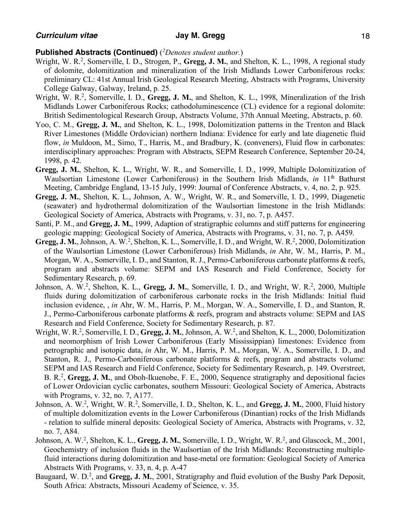- Wright, W. R.2, Somerville, I. D., Strogen, P., **Gregg, J. M.**, and Shelton, K. L., 1998, A regional study of dolomite, dolomitization and mineralization of the Irish Midlands Lower Carboniferous rocks: preliminary CL: 41st Annual Irish Geological Research Meeting, Abstracts with Programs, University College Galway, Galway, Ireland, p. 25.
- Wright, W. R.<sup>2</sup>, Somerville, I. D., **Gregg, J. M.**, and Shelton, K. L., 1998, Mineralization of the Irish Midlands Lower Carboniferous Rocks; cathodoluminescence (CL) evidence for a regional dolomite: British Sedimentological Research Group, Abstracts Volume, 37th Annual Meeting, Abstracts, p. 60.
- Yoo, C. M., **Gregg, J. M.**, and Shelton, K. L., 1998, Dolomitization patterns in the Trenton and Black River Limestones (Middle Ordovician) northern Indiana: Evidence for early and late diagenetic fluid flow, *in* Muldoon, M., Simo, T., Harris, M., and Bradbury, K. (conveners), Fluid flow in carbonates: interdisciplinary approaches: Program with Abstracts, SEPM Research Conference, September 20-24, 1998, p. 42.
- **Gregg, J. M.**, Shelton, K. L., Wright, W. R., and Somerville, I. D., 1999, Multiple Dolomitization of Waulsortian Limestone (Lower Carboniferous) in the Southern Irish Midlands, *in* 11<sup>th</sup> Bathurst Meeting, Cambridge England, 13-15 July, 1999: Journal of Conference Abstracts, v. 4, no. 2, p. 925.
- **Gregg, J. M.**, Shelton, K. L., Johnson, A. W., Wright, W. R., and Somerville, I. D., 1999, Diagenetic (seawater) and hydrothermal dolomitization of the Waulsortian limestone in the Irish Midlands: Geological Society of America, Abstracts with Programs, v. 31, no. 7, p. A457.
- Santi, P. M., and **Gregg, J. M.**, 1999, Adaption of stratigraphic columns and stiff patterns for engineering geologic mapping: Geological Society of America, Abstracts with Programs, v. 31, no. 7, p. A459.
- Gregg, J. M., Johnson, A. W.<sup>2</sup>, Shelton, K. L., Somerville, I. D., and Wright, W. R.<sup>2</sup>, 2000, Dolomitization of the Waulsortian Limestone (Lower Carboniferous) Irish Midlands, *in* Ahr, W. M., Harris, P. M., Morgan, W. A., Somerville, I. D., and Stanton, R. J., Permo-Carboniferous carbonate platforms & reefs, program and abstracts volume: SEPM and IAS Research and Field Conference, Society for Sedimentary Research, p. 69.
- Johnson, A. W.<sup>2</sup>, Shelton, K. L., Gregg, J. M., Somerville, I. D., and Wright, W. R.<sup>2</sup>, 2000, Multiple fluids during dolomitization of carboniferous carbonate rocks in the Irish Midlands: Initial fluid inclusion evidence, , *in* Ahr, W. M., Harris, P. M., Morgan, W. A., Somerville, I. D., and Stanton, R. J., Permo-Carboniferous carbonate platforms & reefs, program and abstracts volume: SEPM and IAS Research and Field Conference, Society for Sedimentary Research, p. 87.
- Wright, W. R.2, Somerville, I. D., **Gregg, J. M.**, Johnson, A. W.2, and Shelton, K. L., 2000, Dolomitization and neomorphism of Irish Lower Carboniferous (Early Mississippian) limestones: Evidence from petrographic and isotopic data, *in* Ahr, W. M., Harris, P. M., Morgan, W. A., Somerville, I. D., and Stanton, R. J., Permo-Carboniferous carbonate platforms & reefs, program and abstracts volume: SEPM and IAS Research and Field Conference, Society for Sedimentary Research, p. 149. Overstreet, B. R.2, **Gregg, J. M.**, and Oboh-Ikuenobe, F. E., 2000, Sequence stratigraphy and depositional facies of Lower Ordovician cyclic carbonates, southern Missouri: Geological Society of America, Abstracts with Programs, v. 32, no. 7, A177.
- Johnson, A. W.<sup>2</sup>, Wright, W. R.<sup>2</sup>, Somerville, I. D., Shelton, K. L., and Gregg, J. M., 2000, Fluid history of multiple dolomitization events in the Lower Carboniferous (Dinantian) rocks of the Irish Midlands - relation to sulfide mineral deposits: Geological Society of America, Abstracts with Programs, v. 32, no. 7, A84.
- Johnson, A. W.<sup>2</sup>, Shelton, K. L., Gregg, J. M., Somerville, I. D., Wright, W. R.<sup>2</sup>, and Glascock, M., 2001, Geochemistry of inclusion fluids in the Waulsortian of the Irish Midlands: Reconstructing multiplefluid interactions during dolomitization and base-metal ore formation: Geological Society of America Abstracts With Programs, v. 33, n. 4, p. A-47
- Baugaard, W. D.<sup>2</sup>, and **Gregg, J. M.**, 2001, Stratigraphy and fluid evolution of the Bushy Park Deposit, South Africa: Abstracts, Missouri Academy of Science, v. 35.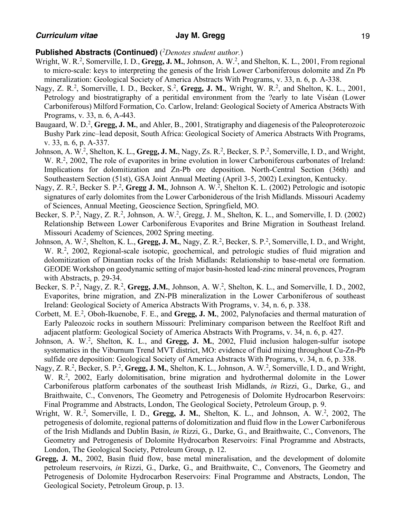- Wright, W. R.<sup>2</sup>, Somerville, I. D., Gregg, J. M., Johnson, A. W.<sup>2</sup>, and Shelton, K. L., 2001, From regional to micro-scale: keys to interpreting the genesis of the Irish Lower Carboniferous dolomite and Zn Pb mineralization: Geological Society of America Abstracts With Programs, v. 33, n. 6, p. A-338.
- Nagy, Z. R.<sup>2</sup>, Somerville, I. D., Becker, S.<sup>2</sup>, Gregg, J. M., Wright, W. R.<sup>2</sup>, and Shelton, K. L., 2001, Petrology and biostratigraphy of a peritidal environment from the ?early to late Viséan (Lower Carboniferous) Milford Formation, Co. Carlow, Ireland: Geological Society of America Abstracts With Programs, v. 33, n. 6, A-443.
- Baugaard, W. D.<sup>2</sup>, Gregg, J. M., and Ahler, B., 2001, Stratigraphy and diagenesis of the Paleoproterozoic Bushy Park zinc–lead deposit, South Africa: Geological Society of America Abstracts With Programs, v. 33, n. 6, p. A-337.
- Johnson, A. W.<sup>2</sup>, Shelton, K. L., Gregg, J. M., Nagy, Zs. R.<sup>2</sup>, Becker, S. P.<sup>2</sup>, Somerville, I. D., and Wright, W. R.<sup>2</sup>, 2002, The role of evaporites in brine evolution in lower Carboniferous carbonates of Ireland: Implications for dolomitization and Zn-Pb ore deposition. North-Central Section (36th) and Southeastern Section (51st), GSA Joint Annual Meeting (April 3-5, 2002) Lexington, Kentucky.
- Nagy, Z. R.<sup>2</sup>, Becker S. P.<sup>2</sup>, Gregg J. M., Johnson A. W.<sup>2</sup>, Shelton K. L. (2002) Petrologic and isotopic signatures of early dolomites from the Lower Carboniderous of the Irish Midlands. Missouri Academy of Sciences, Annual Meeting, Geoscience Section, Springfield, MO.
- Becker, S. P.<sup>2</sup>, Nagy, Z. R.<sup>2</sup>, Johnson, A. W.<sup>2</sup>, Gregg, J. M., Shelton, K. L., and Somerville, I. D. (2002) Relationship Between Lower Carboniferous Evaporites and Brine Migration in Southeast Ireland. Missouri Academy of Sciences, 2002 Spring meeting.
- Johnson, A. W.<sup>2</sup>, Shelton, K. L., Gregg, J. M., Nagy, Z. R.<sup>2</sup>, Becker, S. P.<sup>2</sup>, Somerville, I. D., and Wright, W. R.<sup>2</sup>, 2002, Regional-scale isotopic, geochemical, and petrologic studies of fluid migration and dolomitization of Dinantian rocks of the Irish Midlands: Relationship to base-metal ore formation. GEODE Workshop on geodynamic setting of major basin-hosted lead-zinc mineral provences, Program with Abstracts, p. 29-34.
- Becker, S. P.<sup>2</sup>, Nagy, Z. R.<sup>2</sup>, Gregg, J.M., Johnson, A. W.<sup>2</sup>, Shelton, K. L., and Somerville, I. D., 2002, Evaporites, brine migration, and ZN-PB mineralization in the Lower Carboniferous of southeast Ireland: Geological Society of America Abstracts With Programs, v. 34, n. 6, p. 338.
- Corbett, M. E.<sup>2</sup>, Oboh-Ikuenobe, F. E., and Gregg, J. M., 2002, Palynofacies and thermal maturation of Early Paleozoic rocks in southern Missouri: Preliminary comparison between the Reelfoot Rift and adjacent platform: Geological Society of America Abstracts With Programs, v. 34, n. 6, p. 427.
- Johnson, A. W.<sup>2</sup>, Shelton, K. L., and Gregg, J. M., 2002, Fluid inclusion halogen-sulfur isotope systematics in the Viburnum Trend MVT district, MO: evidence of fluid mixing throughout Cu-Zn-Pb sulfide ore deposition: Geological Society of America Abstracts With Programs, v. 34, n. 6, p. 338.
- Nagy, Z. R.<sup>2</sup>, Becker, S. P.<sup>2</sup>, Gregg, J. M., Shelton, K. L., Johnson, A. W.<sup>2</sup>, Somerville, I. D., and Wright, W. R.<sup>2</sup>, 2002, Early dolomitisation, brine migration and hydrothermal dolomite in the Lower Carboniferous platform carbonates of the southeast Irish Midlands, *in* Rizzi, G., Darke, G., and Braithwaite, C., Convenors, The Geometry and Petrogenesis of Dolomite Hydrocarbon Reservoirs: Final Programme and Abstracts, London, The Geological Society, Petroleum Group, p. 9.
- Wright, W. R.<sup>2</sup>, Somerville, I. D., Gregg, J. M., Shelton, K. L., and Johnson, A. W.<sup>2</sup>, 2002, The petrogenesis of dolomite, regional patterns of dolomitization and fluid flow in the Lower Carboniferous of the Irish Midlands and Dublin Basin, *in* Rizzi, G., Darke, G., and Braithwaite, C., Convenors, The Geometry and Petrogenesis of Dolomite Hydrocarbon Reservoirs: Final Programme and Abstracts, London, The Geological Society, Petroleum Group, p. 12.
- **Gregg, J. M.**, 2002, Basin fluid flow, base metal mineralisation, and the development of dolomite petroleum reservoirs, *in* Rizzi, G., Darke, G., and Braithwaite, C., Convenors, The Geometry and Petrogenesis of Dolomite Hydrocarbon Reservoirs: Final Programme and Abstracts, London, The Geological Society, Petroleum Group, p. 13.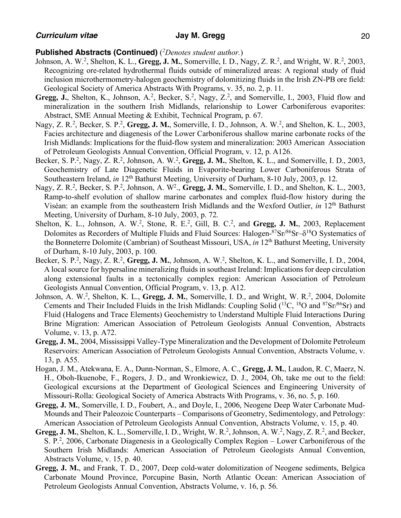- Johnson, A. W.<sup>2</sup>, Shelton, K. L., **Gregg, J. M.**, Somerville, I. D., Nagy, Z. R.<sup>2</sup>, and Wright, W. R.<sup>2</sup>, 2003, Recognizing ore-related hydrothermal fluids outside of mineralized areas: A regional study of fluid inclusion microthermometry-halogen geochemistry of dolomitizing fluids in the Irish ZN-PB ore field: Geological Society of America Abstracts With Programs, v. 35, no. 2, p. 11.
- Gregg, J., Shelton, K., Johnson, A.<sup>2</sup>, Becker, S.<sup>2</sup>, Nagy, Z.<sup>2</sup>, and Somerville, I., 2003, Fluid flow and mineralization in the southern Irish Midlands, relarionship to Lower Carboniferous evaporites: Abstract, SME Annual Meeting & Exhibit, Technical Program, p. 67.
- Nagy, Z. R.<sup>2</sup>, Becker, S. P.<sup>2</sup>, Gregg, J. M., Somerville, I. D., Johnson, A. W.<sup>2</sup>, and Shelton, K. L., 2003, Facies architecture and diagenesis of the Lower Carboniferous shallow marine carbonate rocks of the Irish Midlands: Implications for the fluid-flow system and mineralization: 2003 American Association of Petroleum Geologists Annual Convention, Official Program, v. 12, p. A126.
- Becker, S. P.<sup>2</sup>, Nagy, Z. R.<sup>2</sup>, Johnson, A. W.<sup>2</sup>, Gregg, J. M., Shelton, K. L., and Somerville, I. D., 2003, Geochemistry of Late Diagenetic Fluids in Evaporite-bearing Lower Carboniferous Strata of Southeastern Ireland, *in* 12<sup>th</sup> Bathurst Meeting, University of Durham, 8-10 July, 2003, p. 12.
- Nagy, Z. R.<sup>2</sup>, Becker, S. P.<sup>2</sup>, Johnson, A. W<sup>2</sup>., **Gregg, J. M.**, Somerville, I. D., and Shelton, K. L., 2003, Ramp-to-shelf evolution of shallow marine carbonates and complex fluid-flow history during the Viséan: an example from the southeastern Irish Midlands and the Wexford Outlier, *in* 12th Bathurst Meeting, University of Durham, 8-10 July, 2003, p. 72.
- Shelton, K. L., Johnson, A. W.<sup>2</sup>, Stone, R. E.<sup>2</sup>, Gill, B. C.<sup>2</sup>, and **Gregg, J. M.**, 2003, Replacement Dolomites as Recorders of Multiple Fluids and Fluid Sources: Halogen-87Sr/86Sr- $\delta^{18}O$  Systematics of the Bonneterre Dolomite (Cambrian) of Southeast Missouri, USA, *in* 12th Bathurst Meeting, University of Durham, 8-10 July, 2003, p. 100.
- Becker, S. P.<sup>2</sup>, Nagy, Z. R.<sup>2</sup>, Gregg, J. M., Johnson, A. W.<sup>2</sup>, Shelton, K. L., and Somerville, I. D., 2004, A local source for hypersaline mineralizing fluids in southeast Ireland: Implications for deep circulation along extensional faults in a tectonically complex region: American Association of Petroleum Geologists Annual Convention, Official Program, v. 13, p. A12.
- Johnson, A. W.<sup>2</sup>, Shelton, K. L., Gregg, J. M., Somerville, I. D., and Wright, W. R.<sup>2</sup>, 2004, Dolomite Cements and Their Included Fluids in the Irish Midlands: Coupling Solid (<sup>13</sup>C, <sup>18</sup>O and <sup>87</sup>Sr/<sup>86</sup>Sr) and Fluid (Halogens and Trace Elements) Geochemistry to Understand Multiple Fluid Interactions During Brine Migration: American Association of Petroleum Geologists Annual Convention, Abstracts Volume, v. 13, p. A72.
- **Gregg, J. M.**, 2004, Mississippi Valley-Type Mineralization and the Development of Dolomite Petroleum Reservoirs: American Association of Petroleum Geologists Annual Convention, Abstracts Volume, v. 13, p. A55.
- Hogan, J. M., Atekwana, E. A., Dunn-Norman, S., Elmore, A. C., **Gregg, J. M.**, Laudon, R. C, Maerz, N. H., Oboh-Ikuenobe, F., Rogers, J. D., and Wronkiewicz, D. J., 2004, Oh, take me out to the field: Geological excursions at the Department of Geological Sciences and Engineering University of Missouri-Rolla: Geological Society of America Abstracts With Programs, v. 36, no. 5, p. 160.
- **Gregg, J. M.**, Somerville, I. D., Foubert, A., and Doyle, I., 2006, Neogene Deep Water Carbonate Mud-Mounds and Their Paleozoic Counterparts – Comparisons of Geometry, Sedimentology, and Petrology: American Association of Petroleum Geologists Annual Convention, Abstracts Volume, v. 15, p. 40.
- **Gregg, J. M.**, Shelton, K. L., Somerville, I. D., Wright, W. R.<sup>2</sup>, Johnson, A. W.<sup>2</sup>, Nagy, Z. R.<sup>2</sup>, and Becker, S. P.<sup>2</sup>, 2006, Carbonate Diagenesis in a Geologically Complex Region – Lower Carboniferous of the Southern Irish Midlands: American Association of Petroleum Geologists Annual Convention, Abstracts Volume, v. 15, p. 40.
- **Gregg, J. M.**, and Frank, T. D., 2007, Deep cold-water dolomitization of Neogene sediments, Belgica Carbonate Mound Province, Porcupine Basin, North Atlantic Ocean: American Association of Petroleum Geologists Annual Convention, Abstracts Volume, v. 16, p. 56.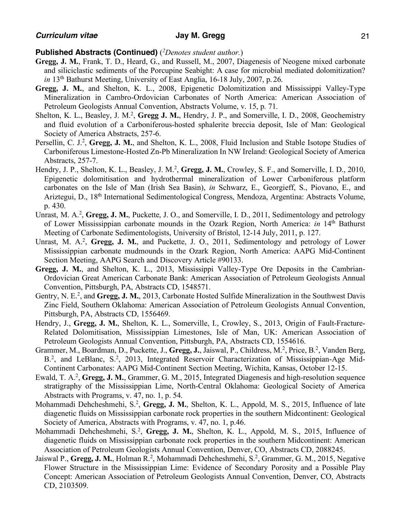- **Gregg, J. M.**, Frank, T. D., Heard, G., and Russell, M., 2007, Diagenesis of Neogene mixed carbonate and siliciclastic sediments of the Porcupine Seabight: A case for microbial mediated dolomitization? *in* 13th Bathurst Meeting, University of East Anglia, 16-18 July, 2007, p. 26.
- **Gregg, J. M.**, and Shelton, K. L., 2008, Epigenetic Dolomitization and Mississippi Valley-Type Mineralization in Cambro-Ordovician Carbonates of North America: American Association of Petroleum Geologists Annual Convention, Abstracts Volume, v. 15, p. 71.
- Shelton, K. L., Beasley, J. M.<sup>2</sup>, Gregg J. M., Hendry, J. P., and Somerville, I. D., 2008, Geochemistry and fluid evolution of a Carboniferous-hosted sphalerite breccia deposit, Isle of Man: Geological Society of America Abstracts, 257-6.
- Persellin, C. J.<sup>2</sup>, Gregg, J. M., and Shelton, K. L., 2008, Fluid Inclusion and Stable Isotope Studies of Carboniferous Limestone-Hosted Zn-Pb Mineralization In NW Ireland: Geological Society of America Abstracts, 257-7.
- Hendry, J. P., Shelton, K. L., Beasley, J. M.<sup>2</sup>, Gregg, J. M., Crowley, S. F., and Somerville, I. D., 2010, Epigenetic dolomitisation and hydrothermal mineralization of Lower Carboniferous platform carbonates on the Isle of Man (Irish Sea Basin), *in* Schwarz, E., Georgieff, S., Piovano, E., and Ariztegui, D., 18<sup>th</sup> International Sedimentological Congress, Mendoza, Argentina: Abstracts Volume, p. 430.
- Unrast, M. A.<sup>2</sup>, Gregg, J. M., Puckette, J. O., and Somerville, I. D., 2011, Sedimentology and petrology of Lower Mississippian carbonate mounds in the Ozark Region, North America: *in* 14th Bathurst Meeting of Carbonate Sedimentologists, University of Bristol, 12-14 July, 2011, p. 127.
- Unrast, M. A.<sup>2</sup>, Gregg, J. M., and Puckette, J. O., 2011, Sedimentology and petrology of Lower Mississippian carbonate mudmounds in the Ozark Region, North America: AAPG Mid-Continent Section Meeting, AAPG Search and Discovery Article #90133.
- **Gregg, J. M.**, and Shelton, K. L., 2013, Mississippi Valley-Type Ore Deposits in the Cambrian-Ordovician Great American Carbonate Bank: American Association of Petroleum Geologists Annual Convention, Pittsburgh, PA, Abstracts CD, 1548571.
- Gentry, N. E.<sup>2</sup>, and Gregg, J. M., 2013, Carbonate Hosted Sulfide Mineralization in the Southwest Davis Zinc Field, Southern Oklahoma: American Association of Petroleum Geologists Annual Convention, Pittsburgh, PA, Abstracts CD, 1556469.
- Hendry, J., **Gregg, J. M.**, Shelton, K. L., Somerville, I., Crowley, S., 2013, Origin of Fault-Fracture-Related Dolomitisation, Mississippian Limestones, Isle of Man, UK: American Association of Petroleum Geologists Annual Convention, Pittsburgh, PA, Abstracts CD, 1554616.
- Grammer, M., Boardman, D., Puckette, J., Gregg, J., Jaiswal, P., Childress, M.<sup>2</sup>, Price, B.<sup>2</sup>, Vanden Berg, B.<sup>2</sup>, and LeBlanc, S.<sup>2</sup>, 2013, Integrated Reservoir Characterization of Mississippian-Age Mid-Continent Carbonates: AAPG Mid-Continent Section Meeting, Wichita, Kansas, October 12-15.
- Ewald, T. A.<sup>2</sup>, Gregg, J. M., Grammer, G. M., 2015, Integrated Diagenesis and high-resolution sequence stratigraphy of the Mississippian Lime, North-Central Oklahoma: Geological Society of America Abstracts with Programs, v. 47, no. 1, p. 54.
- Mohammadi Dehcheshmehi, S.<sup>2</sup>, Gregg, J. M., Shelton, K. L., Appold, M. S., 2015, Influence of late diagenetic fluids on Mississippian carbonate rock properties in the southern Midcontinent: Geological Society of America, Abstracts with Programs, v. 47, no. 1, p.46.
- Mohammadi Dehcheshmehi, S.<sup>2</sup>, Gregg, J. M., Shelton, K. L., Appold, M. S., 2015, Influence of diagenetic fluids on Mississippian carbonate rock properties in the southern Midcontinent: American Association of Petroleum Geologists Annual Convention, Denver, CO, Abstracts CD, 2088245.
- Jaiswal P., Gregg, J. M., Holman R.<sup>2</sup>, Mohammadi Dehcheshmehi, S.<sup>2</sup>, Grammer, G. M., 2015, Negative Flower Structure in the Mississippian Lime: Evidence of Secondary Porosity and a Possible Play Concept: American Association of Petroleum Geologists Annual Convention, Denver, CO, Abstracts CD, 2103509.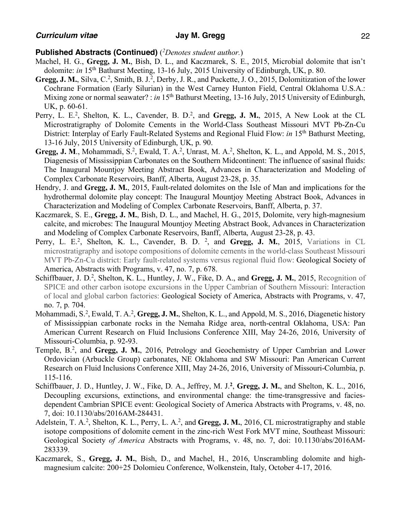- Machel, H. G., **Gregg, J. M.**, Bish, D. L., and Kaczmarek, S. E., 2015, Microbial dolomite that isn't dolomite: *in* 15<sup>th</sup> Bathurst Meeting, 13-16 July, 2015 University of Edinburgh, UK, p. 80.
- Gregg, J. M., Silva, C.<sup>2</sup>, Smith, B. J.<sup>2</sup>, Derby, J. R., and Puckette, J. O., 2015, Dolomitization of the lower Cochrane Formation (Early Silurian) in the West Carney Hunton Field, Central Oklahoma U.S.A.: Mixing zone or normal seawater? : *in* 15<sup>th</sup> Bathurst Meeting, 13-16 July, 2015 University of Edinburgh, UK, p. 60-61.
- Perry, L. E.<sup>2</sup>, Shelton, K. L., Cavender, B. D.<sup>2</sup>, and Gregg, J. M., 2015, A New Look at the CL Microstratigraphy of Dolomite Cements in the World-Class Southeast Missouri MVT Pb-Zn-Cu District: Interplay of Early Fault-Related Systems and Regional Fluid Flow: *in* 15<sup>th</sup> Bathurst Meeting, 13-16 July, 2015 University of Edinburgh, UK, p. 90.
- **Gregg, J. M**., Mohammadi, S.2, Ewald, T. A.2, Unrast, M. A.2, Shelton, K. L., and Appold, M. S., 2015, Diagenesis of Mississippian Carbonates on the Southern Midcontinent: The influence of sasinal fluids: The Inaugural Mountjoy Meeting Abstract Book, Advances in Characterization and Modeling of Complex Carbonate Reservoirs, Banff, Alberta, August 23-28, p. 35.
- Hendry, J. and **Gregg, J. M.**, 2015, Fault-related dolomites on the Isle of Man and implications for the hydrothermal dolomite play concept: The Inaugural Mountjoy Meeting Abstract Book, Advances in Characterization and Modeling of Complex Carbonate Reservoirs, Banff, Alberta, p. 37.
- Kaczmarek, S. E., **Gregg, J. M.**, Bish, D. L., and Machel, H. G., 2015, Dolomite, very high-magnesium calcite, and microbes: The Inaugural Mountjoy Meeting Abstract Book, Advances in Characterization and Modeling of Complex Carbonate Reservoirs, Banff, Alberta, August 23-28, p. 43.
- Perry, L. E.<sup>2</sup>, Shelton, K. L., Cavender, B. D. <sup>2</sup>, and Gregg, J. M., 2015, Variations in CL microstratigraphy and isotope compositions of dolomite cements in the world-class Southeast Missouri MVT Pb-Zn-Cu district: Early fault-related systems versus regional fluid flow: Geological Society of America, Abstracts with Programs, v. 47, no. 7, p. 678.
- Schiffbauer, J. D.<sup>2</sup>, Shelton, K. L., Huntley, J. W., Fike, D. A., and Gregg, J. M., 2015, Recognition of SPICE and other carbon isotope excursions in the Upper Cambrian of Southern Missouri: Interaction of local and global carbon factories: Geological Society of America, Abstracts with Programs, v. 47, no. 7, p. 704.
- Mohammadi, S.<sup>2</sup>, Ewald, T. A.<sup>2</sup>, Gregg, J. M., Shelton, K. L., and Appold, M. S., 2016, Diagenetic history of Mississippian carbonate rocks in the Nemaha Ridge area, north-central Oklahoma, USA: Pan American Current Research on Fluid Inclusions Conference XIII, May 24-26, 2016, University of Missouri-Columbia, p. 92-93.
- Temple, B.<sup>2</sup>, and Gregg, J. M., 2016, Petrology and Geochemistry of Upper Cambrian and Lower Ordovician (Arbuckle Group) carbonates, NE Oklahoma and SW Missouri: Pan American Current Research on Fluid Inclusions Conference XIII, May 24-26, 2016, University of Missouri-Columbia, p. 115-116.
- Schiffbauer, J. D., Huntley, J. W., Fike, D. A., Jeffrey, M. J.<sup>2</sup>, Gregg, J. M., and Shelton, K. L., 2016, Decoupling excursions, extinctions, and environmental change: the time-transgressive and faciesdependent Cambrian SPICE event: Geological Society of America Abstracts with Programs, v. 48, no. 7, doi: 10.1130/abs/2016AM-284431.
- Adelstein, T. A.<sup>2</sup>, Shelton, K. L., Perry, L. A.<sup>2</sup>, and Gregg, J. M., 2016, CL microstratigraphy and stable isotope compositions of dolomite cement in the zinc-rich West Fork MVT mine, Southeast Missouri: Geological Society *of America* Abstracts with Programs, v. 48, no. 7, doi: 10.1130/abs/2016AM-283339.
- Kaczmarek, S., **Gregg, J. M.**, Bish, D., and Machel, H., 2016, Unscrambling dolomite and highmagnesium calcite: 200+25 Dolomieu Conference, Wolkenstein, Italy, October 4-17, 2016.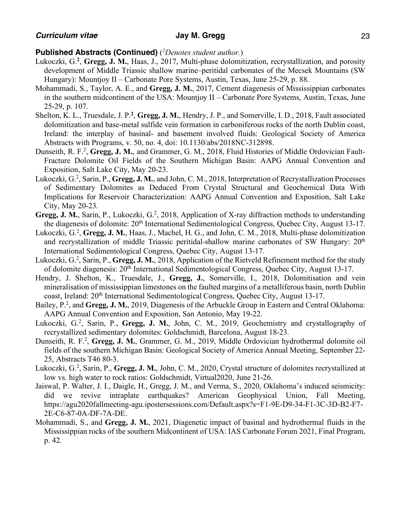- Lukoczki, G.**<sup>2</sup>**, **Gregg, J. M.**, Haas, J., 2017, Multi-phase dolomitization, recrystallization, and porosity development of Middle Triassic shallow marine–peritidal carbonates of the Mecsek Mountains (SW Hungary): Mountjoy II – Carbonate Pore Systems, Austin, Texas, June 25-29, p. 88.
- Mohammadi, S., Taylor, A. E., and **Gregg, J. M.**, 2017, Cement diagenesis of Mississippian carbonates in the southern midcontinent of the USA: Mountjoy II – Carbonate Pore Systems, Austin, Texas, June 25-29, p. 107.
- Shelton, K. L., Truesdale, J. P.<sup>2</sup>, Gregg, J. M., Hendry, J. P., and Somerville, I. D., 2018, Fault associated dolomitization and base-metal sulfide vein formation in carboniferous rocks of the north Dublin coast, Ireland: the interplay of basinal- and basement involved fluids: Geological Society of America Abstracts with Programs, v. 50, no. 4, doi: 10.1130/abs/2018NC-312898.
- Dunseith, R. F.2, **Gregg, J. M.**, and Grammer, G. M., 2018, Fluid Histories of Middle Ordovician Fault-Fracture Dolomite Oil Fields of the Southern Michigan Basin: AAPG Annual Convention and Exposition, Salt Lake City, May 20-23.
- Lukoczki, G.<sup>2</sup>, Sarin, P., Gregg, J. M., and John, C. M., 2018, Interpretation of Recrystallization Processes of Sedimentary Dolomites as Deduced From Crystal Structural and Geochemical Data With Implications for Reservoir Characterization: AAPG Annual Convention and Exposition, Salt Lake City, May 20-23.
- Gregg, J. M., Sarin, P., Lukoczki, G.<sup>2</sup>, 2018, Application of X-ray diffraction methods to understanding the diagenesis of dolomite: 20<sup>th</sup> International Sedimentological Congress, Ouebec City, August 13-17.
- Lukoczki, G.<sup>2</sup>, Gregg, J. M., Haas, J., Machel, H. G., and John, C. M., 2018, Multi-phase dolomitization and recrystallization of middle Triassic peritidal-shallow marine carbonates of SW Hungary: 20<sup>th</sup> International Sedimentological Congress, Quebec City, August 13-17.
- Lukoczki, G.<sup>2</sup>, Sarin, P., Gregg, J. M., 2018, Application of the Rietveld Refinement method for the study of dolomite diagenesis: 20th International Sedimentological Congress, Quebec City, August 13-17.
- Hendry, J. Shelton, K., Truesdale, J., **Gregg, J.**, Somerville, I., 2018, Dolomitisation and vein mineralisation of mississippian limestones on the faulted margins of a metalliferous basin, north Dublin coast, Ireland: 20th International Sedimentological Congress, Quebec City, August 13-17.
- Bailey, P.2, and **Gregg, J. M.**, 2019, Diagenesis of the Arbuckle Group in Eastern and Central Oklahoma: AAPG Annual Convention and Exposition, San Antonio, May 19-22.
- Lukoczki, G.<sup>2</sup>, Sarin, P., Gregg, J. M., John, C. M., 2019, Geochemistry and crystallography of recrystallized sedimentary dolomites: Goldschmidt, Barcelona, August 18-23.
- Dunseith, R. F.<sup>2</sup>, Gregg, J. M., Grammer, G. M., 2019, Middle Ordovician hydrothermal dolomite oil fields of the southern Michigan Basin: Geological Society of America Annual Meeting, September 22- 25, Abstracts T46 80-3.
- Lukoczki, G.<sup>2</sup>, Sarin, P., Gregg, J. M., John, C. M., 2020, Crystal structure of dolomites recrystallized at low vs. high water to rock ratios: Goldschmidt, Virtual2020, June 21-26.
- Jaiswal, P. Walter, J. I., Daigle, H., Gregg, J. M., and Verma, S., 2020, Oklahoma's induced seismicity: did we revive intraplate earthquakes? American Geophysical Union, Fall Meeting, https://agu2020fallmeeting-agu.ipostersessions.com/Default.aspx?s=F1-9E-D9-34-F1-3C-3D-B2-F7- 2E-C6-87-0A-DF-7A-DE.
- Mohammadi, S., and **Gregg, J. M.**, 2021, Diagenetic impact of basinal and hydrothermal fluids in the Mississippian rocks of the southern Midcontinent of USA: IAS Carbonate Forum 2021, Final Program, p. 42.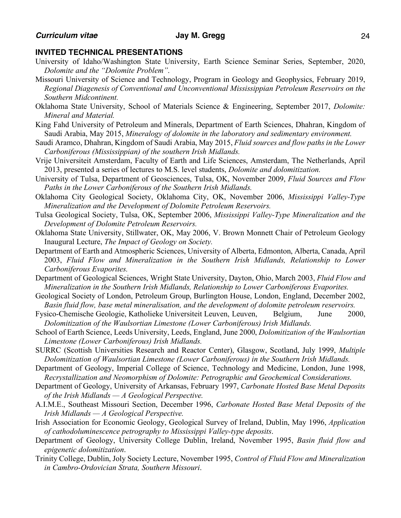### **INVITED TECHNICAL PRESENTATIONS**

- University of Idaho/Washington State University, Earth Science Seminar Series, September, 2020, *Dolomite and the "Dolomite Problem"*.
- Missouri University of Science and Technology, Program in Geology and Geophysics, February 2019, *Regional Diagenesis of Conventional and Unconventional Mississippian Petroleum Reservoirs on the Southern Midcontinent.*
- Oklahoma State University, School of Materials Science & Engineering, September 2017, *Dolomite: Mineral and Material.*
- King Fahd University of Petroleum and Minerals, Department of Earth Sciences, Dhahran, Kingdom of Saudi Arabia, May 2015, *Mineralogy of dolomite in the laboratory and sedimentary environment.*
- Saudi Aramco, Dhahran, Kingdom of Saudi Arabia, May 2015, *Fluid sources and flow paths in the Lower Carboniferous (Mississippian) of the southern Irish Midlands.*
- Vrije Universiteit Amsterdam, Faculty of Earth and Life Sciences, Amsterdam, The Netherlands, April 2013, presented a series of lectures to M.S. level students, *Dolomite and dolomitization.*
- University of Tulsa, Department of Geosciences, Tulsa, OK, November 2009, *Fluid Sources and Flow Paths in the Lower Carboniferous of the Southern Irish Midlands.*
- Oklahoma City Geological Society, Oklahoma City, OK, November 2006, *Mississippi Valley-Type Mineralization and the Development of Dolomite Petroleum Reservoirs.*
- Tulsa Geological Society, Tulsa, OK, September 2006, *Mississippi Valley-Type Mineralization and the Development of Dolomite Petroleum Reservoirs.*
- Oklahoma State University, Stillwater, OK, May 2006, V. Brown Monnett Chair of Petroleum Geology Inaugural Lecture, *The Impact of Geology on Society.*
- Department of Earth and Atmospheric Sciences, University of Alberta, Edmonton, Alberta, Canada, April 2003, *Fluid Flow and Mineralization in the Southern Irish Midlands, Relationship to Lower Carboniferous Evaporites.*
- Department of Geological Sciences, Wright State University, Dayton, Ohio, March 2003, *Fluid Flow and Mineralization in the Southern Irish Midlands, Relationship to Lower Carboniferous Evaporites.*
- Geological Society of London, Petroleum Group, Burlington House, London, England, December 2002, *Basin fluid flow, base metal mineralisation, and the development of dolomite petroleum reservoirs.*
- Fysico-Chemische Geologie, Katholieke Universiteit Leuven, Leuven, Belgium, June 2000, *Dolomitization of the Waulsortian Limestone (Lower Carboniferous) Irish Midlands.*
- School of Earth Science, Leeds University, Leeds, England, June 2000, *Dolomitization of the Waulsortian Limestone (Lower Carboniferous) Irish Midlands.*
- SURRC (Scottish Universities Research and Reactor Center), Glasgow, Scotland, July 1999, *Multiple Dolomitization of Waulsortian Limestone (Lower Carboniferous) in the Southern Irish Midlands.*
- Department of Geology, Imperial College of Science, Technology and Medicine, London, June 1998, *Recrystallization and Neomorphism of Dolomite: Petrographic and Geochemical Considerations.*
- Department of Geology, University of Arkansas, February 1997, *Carbonate Hosted Base Metal Deposits of the Irish Midlands — A Geological Perspective.*
- A.I.M.E., Southeast Missouri Section, December 1996, *Carbonate Hosted Base Metal Deposits of the Irish Midlands — A Geological Perspective.*
- Irish Association for Economic Geology, Geological Survey of Ireland, Dublin, May 1996, *Application of cathodoluminescence petrography to Mississippi Valley-type deposits*.
- Department of Geology, University College Dublin, Ireland, November 1995, *Basin fluid flow and epigenetic dolomitization*.
- Trinity College, Dublin, Joly Society Lecture, November 1995, *Control of Fluid Flow and Mineralization in Cambro-Ordovician Strata, Southern Missouri*.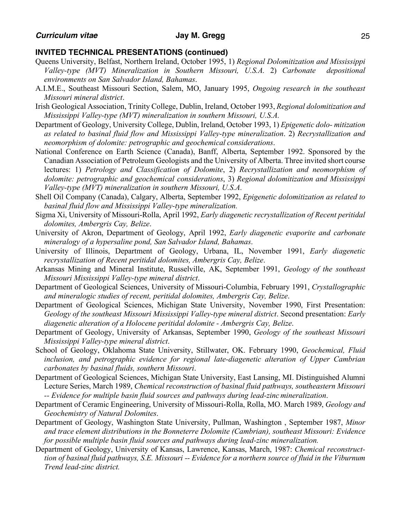### **INVITED TECHNICAL PRESENTATIONS (continued)**

- Queens University, Belfast, Northern Ireland, October 1995, 1) *Regional Dolomitization and Mississippi Valley-type (MVT) Mineralization in Southern Missouri, U.S.A.* 2) *Carbonate depositional environments on San Salvador Island, Bahamas*.
- A.I.M.E., Southeast Missouri Section, Salem, MO, January 1995, *Ongoing research in the southeast Missouri mineral district*.
- Irish Geological Association, Trinity College, Dublin, Ireland, October 1993, *Regional dolomitization and Mississippi Valley-type (MVT) mineralization in southern Missouri, U.S.A.*
- Department of Geology, University College, Dublin, Ireland, October 1993, 1) *Epigenetic dolo- mitization as related to basinal fluid flow and Mississippi Valley-type mineralization*. 2) *Recrystallization and neomorphism of dolomite: petrographic and geochemical considerations*.
- National Conference on Earth Science (Canada), Banff, Alberta, September 1992. Sponsored by the Canadian Association of Petroleum Geologists and the University of Alberta. Three invited short course lectures: 1) *Petrology and Classification of Dolomite*, 2) *Recrystallization and neomorphism of dolomite: petrographic and geochemical considerations*, 3) *Regional dolomitization and Mississippi Valley-type (MVT) mineralization in southern Missouri, U.S.A.*
- Shell Oil Company (Canada), Calgary, Alberta, September 1992, *Epigenetic dolomitization as related to basinal fluid flow and Mississippi Valley-type mineralization.*
- Sigma Xi, University of Missouri-Rolla, April 1992, *Early diagenetic recrystallization of Recent peritidal dolomites, Ambergris Cay, Belize*.
- University of Akron, Department of Geology, April 1992, *Early diagenetic evaporite and carbonate mineralogy of a hypersaline pond, San Salvador Island, Bahamas*.
- University of Illinois, Department of Geology, Urbana, IL, November 1991, *Early diagenetic recrystallization of Recent peritidal dolomites, Ambergris Cay, Belize*.
- Arkansas Mining and Mineral Institute, Russelville, AK, September 1991, *Geology of the southeast Missouri Mississippi Valley-type mineral district*.
- Department of Geological Sciences, University of Missouri-Columbia, February 1991, *Crystallographic and mineralogic studies of recent, peritidal dolomites, Ambergris Cay, Belize*.
- Department of Geological Sciences, Michigan State University, November 1990, First Presentation: *Geology of the southeast Missouri Mississippi Valley-type mineral district*. Second presentation: *Early diagenetic alteration of a Holocene peritidal dolomite - Ambergris Cay, Belize*.
- Department of Geology, University of Arkansas, September 1990, *Geology of the southeast Missouri Mississippi Valley-type mineral district*.
- School of Geology, Oklahoma State University, Stillwater, OK. February 1990, *Geochemical, Fluid inclusion, and petrographic evidence for regional late-diagenetic alteration of Upper Cambrian carbonates by basinal fluids, southern Missouri*.
- Department of Geological Sciences, Michigan State University, East Lansing, MI. Distinguished Alumni Lecture Series, March 1989, *Chemical reconstruction of basinal fluid pathways, southeastern Missouri -- Evidence for multiple basin fluid sources and pathways during lead-zinc mineralization*.
- Department of Ceramic Engineering, University of Missouri-Rolla, Rolla, MO. March 1989, *Geology and Geochemistry of Natural Dolomites*.
- Department of Geology, Washington State University, Pullman, Washington , September 1987, *Minor and trace element distributions in the Bonneterre Dolomite (Cambrian), southeast Missouri: Evidence for possible multiple basin fluid sources and pathways during lead-zinc mineralization.*
- Department of Geology, University of Kansas, Lawrence, Kansas, March, 1987: *Chemical reconstructtion of basinal fluid pathways, S.E. Missouri -- Evidence for a northern source of fluid in the Viburnum Trend lead-zinc district.*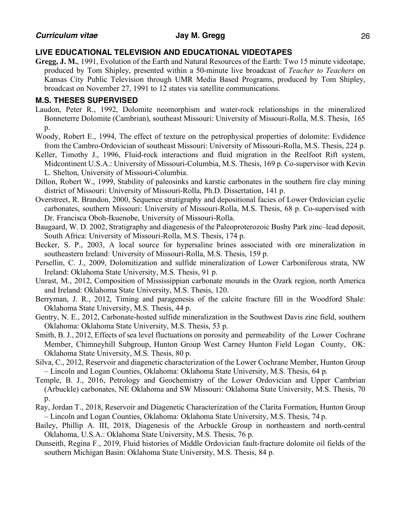## **LIVE EDUCATIONAL TELEVISION AND EDUCATIONAL VIDEOTAPES**

**Gregg, J. M.**, 1991, Evolution of the Earth and Natural Resources of the Earth: Two 15 minute videotape, produced by Tom Shipley, presented within a 50-minute live broadcast of *Teacher to Teachers* on Kansas City Public Television through UMR Media Based Programs, produced by Tom Shipley, broadcast on November 27, 1991 to 12 states via satellite communications.

## **M.S. THESES SUPERVISED**

- Laudon, Peter R., 1992, Dolomite neomorphism and water-rock relationships in the mineralized Bonneterre Dolomite (Cambrian), southeast Missouri: University of Missouri-Rolla, M.S. Thesis, 165 p.
- Woody, Robert E., 1994, The effect of texture on the petrophysical properties of dolomite: Evdidence from the Cambro-Ordovician of southeast Missouri: University of Missouri-Rolla, M.S. Thesis, 224 p.
- Keller, Timothy J., 1996, Fluid-rock interactions and fluid migration in the Reelfoot Rift system, Midcontinent U.S.A.: University of Missouri-Columbia, M.S. Thesis, 169 p. Co-supervisor with Kevin L. Shelton, University of Missouri-Columbia.
- Dillon, Robert W., 1999, Stability of paleosinks and karstic carbonates in the southern fire clay mining district of Missouri: University of Missouri-Rolla, Ph.D. Dissertation, 141 p.
- Overstreet, R. Brandon, 2000, Sequence stratigraphy and depositional facies of Lower Ordovician cyclic carbonates, southern Missouri: University of Missouri-Rolla, M.S. Thesis, 68 p. Co-supervised with Dr. Francisca Oboh-Ikuenobe, University of Missouri-Rolla.
- Baugaard, W. D. 2002, Stratigraphy and diagenesis of the Paleoproterozoic Bushy Park zinc–lead deposit, South Africa: University of Missouri-Rolla, M.S. Thesis, 174 p.
- Becker, S. P., 2003, A local source for hypersaline brines associated with ore mineralization in southeastern Ireland: University of Missouri-Rolla, M.S. Thesis, 159 p.
- Persellin, C. J., 2009, Dolomitization and sulfide mineralization of Lower Carboniferous strata, NW Ireland: Oklahoma State University, M.S. Thesis, 91 p.
- Unrast, M., 2012, Composition of Mississippian carbonate mounds in the Ozark region, north America and Ireland: Oklahoma State University, M.S. Thesis, 120.
- Berryman, J. R., 2012, Timing and paragenesis of the calcite fracture fill in the Woodford Shale: Oklahoma State University, M.S. Thesis, 44 p.
- Gentry, N. E., 2012, Carbonate-hosted sulfide mineralization in the Southwest Davis zinc field, southern Oklahoma: Oklahoma State University, M.S. Thesis, 53 p.
- Smith, B. J., 2012, Effects of sea level fluctuations on porosity and permeability of the Lower Cochrane Member, Chimneyhill Subgroup, Hunton Group West Carney Hunton Field Logan County, OK: Oklahoma State University, M.S. Thesis, 80 p.
- Silva, C., 2012, Reservoir and diagenetic characterization of the Lower Cochrane Member, Hunton Group – Lincoln and Logan Counties, Oklahoma: Oklahoma State University, M.S. Thesis, 64 p.
- Temple, B. J., 2016, Petrology and Geochemistry of the Lower Ordovician and Upper Cambrian (Arbuckle) carbonates, NE Oklahoma and SW Missouri: Oklahoma State University, M.S. Thesis, 70  $\mathfrak{p}$ .
- Ray, Jordan T., 2018, Reservoir and Diagenetic Characterization of the Clarita Formation, Hunton Group – Lincoln and Logan Counties, Oklahoma: Oklahoma State University, M.S. Thesis, 74 p.
- Bailey, Phillip A. III, 2018, Diagenesis of the Arbuckle Group in northeastern and north-central Oklahoma, U.S.A.: Oklahoma State University, M.S. Thesis, 76 p.
- Dunseith, Regina F., 2019, Fluid histories of Middle Ordovician fault-fracture dolomite oil fields of the southern Michigan Basin: Oklahoma State University, M.S. Thesis, 84 p.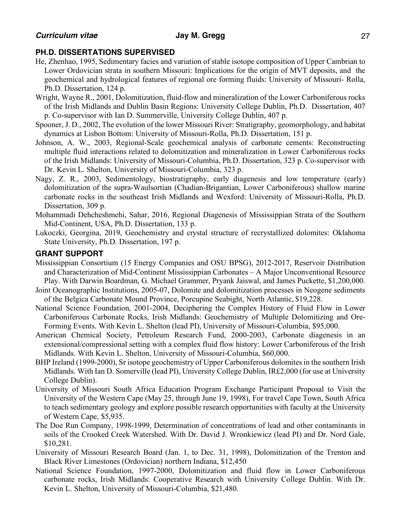# **PH.D. DISSERTATIONS SUPERVISED**

- He, Zhenhao, 1995, Sedimentary facies and variation of stable isotope composition of Upper Cambrian to Lower Ordovician strata in southern Missouri: Implications for the origin of MVT deposits, and the geochemical and hydrological features of regional ore forming fluids: University of Missouri- Rolla, Ph.D. Dissertation, 124 p.
- Wright, Wayne R., 2001, Dolomitization, fluid-flow and mineralization of the Lower Carboniferous rocks of the Irish Midlands and Dublin Basin Regions: University College Dublin, Ph.D. Dissertation, 407 p. Co-supervisor with Ian D. Summerville, University College Dublin, 407 p.
- Spooner, J. D., 2002, The evolution of the lower Missouri River: Stratigraphy, geomorphology, and habitat dynamics at Lisbon Bottom: University of Missouri-Rolla, Ph.D. Dissertation, 151 p.
- Johnson, A. W., 2003, Regional-Scale geochemical analysis of carbonate cements: Reconstructing multiple fluid interactions related to dolomitization and mineralization in Lower Carboniferous rocks of the Irish Midlands: University of Missouri-Columbia, Ph.D. Dissertation, 323 p. Co-supervisor with Dr. Kevin L. Shelton, University of Missouri-Columbia, 323 p.
- Nagy, Z. R., 2003, Sedimentology, biostratigraphy, early diagenesis and low temperature (early) dolomitization of the supra-Waulsortian (Chadian-Brigantian, Lower Carboniferous) shallow marine carbonate rocks in the southeast Irish Midlands and Wexford: University of Missouri-Rolla, Ph.D. Dissertation, 309 p.
- Mohammadi Dehcheshmehi, Sahar, 2016, Regional Diagenesis of Mississippian Strata of the Southern Mid-Continent, USA, Ph.D. Dissertation, 133 p.
- Lukoczki, Georgina, 2019, Geochemistry and crystal structure of recrystallized dolomites: Oklahoma State University, Ph.D. Dissertation, 197 p.

# **GRANT SUPPORT**

- Mississippian Consortium (15 Energy Companies and OSU BPSG), 2012-2017, Reservoir Distribution and Characterization of Mid-Continent Mississippian Carbonates – A Major Unconventional Resource Play. With Darwin Boardman, G. Michael Grammer, Pryank Jaiswal, and James Puckette, \$1,200,000.
- Joint Oceanographic Institutions, 2005-07, Dolomite and dolomitization processes in Neogene sediments of the Belgica Carbonate Mound Province, Porcupine Seabight, North Atlantic, \$19,228.
- National Science Foundation, 2001-2004, Deciphering the Complex History of Fluid Flow in Lower Carboniferous Carbonate Rocks, Irish Midlands: Geochemistry of Multiple Dolomitizing and Ore-Forming Events. With Kevin L. Shelton (lead PI), University of Missouri-Columbia, \$95,000.
- American Chemical Society, Petroleum Research Fund, 2000-2003, Carbonate diagenesis in an extensional/compressional setting with a complex fluid flow history: Lower Carboniferous of the Irish Midlands. With Kevin L. Shelton, University of Missouri-Columbia, \$60,000.
- BHP Ireland (1999-2000), Sr isotope geochemistry of Upper Carboniferous dolomites in the southern Irish Midlands. With Ian D. Somerville (lead PI), University College Dublin, IR£2,000 (for use at University College Dublin).
- University of Missouri South Africa Education Program Exchange Participant Proposal to Visit the University of the Western Cape (May 25, through June 19, 1998), For travel Cape Town, South Africa to teach sedimentary geology and explore possible research opportunities with faculty at the University of Western Cape, \$5,935.
- The Doe Run Company, 1998-1999, Determination of concentrations of lead and other contaminants in soils of the Crooked Creek Watershed. With Dr. David J. Wronkiewicz (lead PI) and Dr. Nord Gale, \$10,281.
- University of Missouri Research Board (Jan. 1, to Dec. 31, 1998), Dolomitization of the Trenton and Black River Limestones (Ordovician) northern Indiana, \$12,450
- National Science Foundation, 1997-2000, Dolomitization and fluid flow in Lower Carboniferous carbonate rocks, Irish Midlands: Cooperative Research with University College Dublin. With Dr. Kevin L. Shelton, University of Missouri-Columbia, \$21,480.